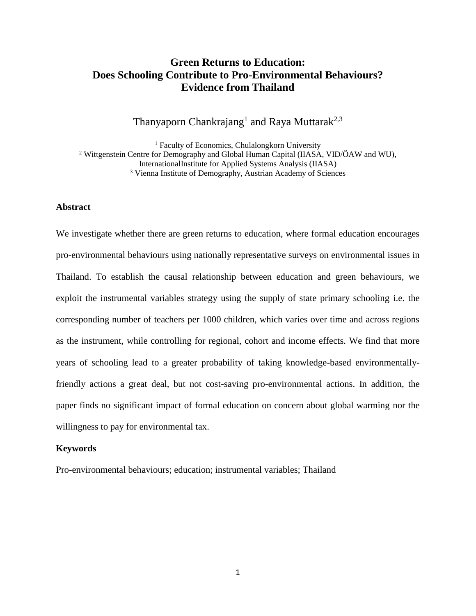# **Green Returns to Education: Does Schooling Contribute to Pro-Environmental Behaviours? Evidence from Thailand**

# Thanyaporn Chankrajang<sup>1</sup> and Raya Muttarak<sup>2,3</sup>

<sup>1</sup> Faculty of Economics, Chulalongkorn University <sup>2</sup> Wittgenstein Centre for Demography and Global Human Capital (IIASA, VID/ÖAW and WU), InternationalInstitute for Applied Systems Analysis (IIASA) <sup>3</sup> Vienna Institute of Demography, Austrian Academy of Sciences

## **Abstract**

We investigate whether there are green returns to education, where formal education encourages pro-environmental behaviours using nationally representative surveys on environmental issues in Thailand. To establish the causal relationship between education and green behaviours, we exploit the instrumental variables strategy using the supply of state primary schooling i.e. the corresponding number of teachers per 1000 children, which varies over time and across regions as the instrument, while controlling for regional, cohort and income effects. We find that more years of schooling lead to a greater probability of taking knowledge-based environmentallyfriendly actions a great deal, but not cost-saving pro-environmental actions. In addition, the paper finds no significant impact of formal education on concern about global warming nor the willingness to pay for environmental tax.

#### **Keywords**

Pro-environmental behaviours; education; instrumental variables; Thailand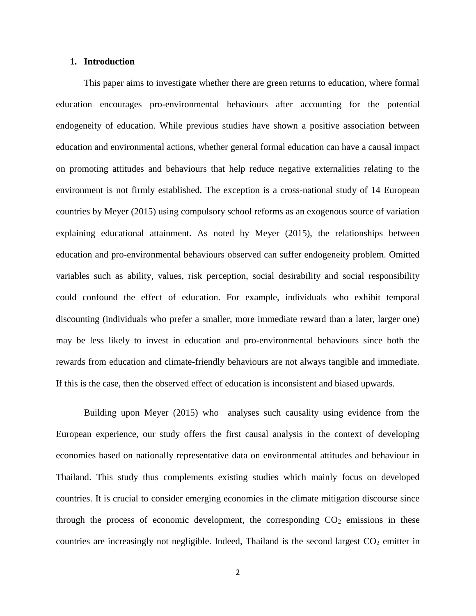## **1. Introduction**

This paper aims to investigate whether there are green returns to education, where formal education encourages pro-environmental behaviours after accounting for the potential endogeneity of education. While previous studies have shown a positive association between education and environmental actions, whether general formal education can have a causal impact on promoting attitudes and behaviours that help reduce negative externalities relating to the environment is not firmly established. The exception is a cross-national study of 14 European countries by Meyer (2015) using compulsory school reforms as an exogenous source of variation explaining educational attainment. As noted by Meyer (2015), the relationships between education and pro-environmental behaviours observed can suffer endogeneity problem. Omitted variables such as ability, values, risk perception, social desirability and social responsibility could confound the effect of education. For example, individuals who exhibit temporal discounting (individuals who prefer a smaller, more immediate reward than a later, larger one) may be less likely to invest in education and pro-environmental behaviours since both the rewards from education and climate-friendly behaviours are not always tangible and immediate. If this is the case, then the observed effect of education is inconsistent and biased upwards.

Building upon Meyer (2015) who analyses such causality using evidence from the European experience, our study offers the first causal analysis in the context of developing economies based on nationally representative data on environmental attitudes and behaviour in Thailand. This study thus complements existing studies which mainly focus on developed countries. It is crucial to consider emerging economies in the climate mitigation discourse since through the process of economic development, the corresponding  $CO<sub>2</sub>$  emissions in these countries are increasingly not negligible. Indeed, Thailand is the second largest  $CO<sub>2</sub>$  emitter in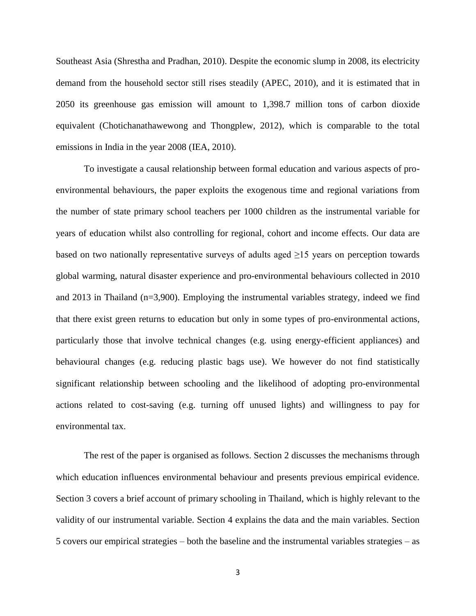Southeast Asia (Shrestha and Pradhan, 2010). Despite the economic slump in 2008, its electricity demand from the household sector still rises steadily (APEC, 2010), and it is estimated that in 2050 its greenhouse gas emission will amount to 1,398.7 million tons of carbon dioxide equivalent (Chotichanathawewong and Thongplew, 2012), which is comparable to the total emissions in India in the year 2008 (IEA, 2010).

To investigate a causal relationship between formal education and various aspects of proenvironmental behaviours, the paper exploits the exogenous time and regional variations from the number of state primary school teachers per 1000 children as the instrumental variable for years of education whilst also controlling for regional, cohort and income effects. Our data are based on two nationally representative surveys of adults aged  $\geq$ 15 years on perception towards global warming, natural disaster experience and pro-environmental behaviours collected in 2010 and 2013 in Thailand (n=3,900). Employing the instrumental variables strategy, indeed we find that there exist green returns to education but only in some types of pro-environmental actions, particularly those that involve technical changes (e.g. using energy-efficient appliances) and behavioural changes (e.g. reducing plastic bags use). We however do not find statistically significant relationship between schooling and the likelihood of adopting pro-environmental actions related to cost-saving (e.g. turning off unused lights) and willingness to pay for environmental tax.

The rest of the paper is organised as follows. Section 2 discusses the mechanisms through which education influences environmental behaviour and presents previous empirical evidence. Section 3 covers a brief account of primary schooling in Thailand, which is highly relevant to the validity of our instrumental variable. Section 4 explains the data and the main variables. Section 5 covers our empirical strategies – both the baseline and the instrumental variables strategies – as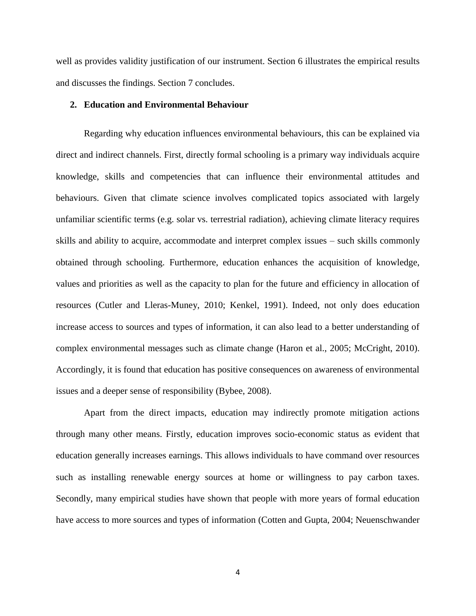well as provides validity justification of our instrument. Section 6 illustrates the empirical results and discusses the findings. Section 7 concludes.

## **2. Education and Environmental Behaviour**

Regarding why education influences environmental behaviours, this can be explained via direct and indirect channels. First, directly formal schooling is a primary way individuals acquire knowledge, skills and competencies that can influence their environmental attitudes and behaviours. Given that climate science involves complicated topics associated with largely unfamiliar scientific terms (e.g. solar vs. terrestrial radiation), achieving climate literacy requires skills and ability to acquire, accommodate and interpret complex issues – such skills commonly obtained through schooling. Furthermore, education enhances the acquisition of knowledge, values and priorities as well as the capacity to plan for the future and efficiency in allocation of resources (Cutler and Lleras-Muney, 2010; Kenkel, 1991). Indeed, not only does education increase access to sources and types of information, it can also lead to a better understanding of complex environmental messages such as climate change (Haron et al., 2005; McCright, 2010). Accordingly, it is found that education has positive consequences on awareness of environmental issues and a deeper sense of responsibility (Bybee, 2008).

Apart from the direct impacts, education may indirectly promote mitigation actions through many other means. Firstly, education improves socio-economic status as evident that education generally increases earnings. This allows individuals to have command over resources such as installing renewable energy sources at home or willingness to pay carbon taxes. Secondly, many empirical studies have shown that people with more years of formal education have access to more sources and types of information (Cotten and Gupta, 2004; Neuenschwander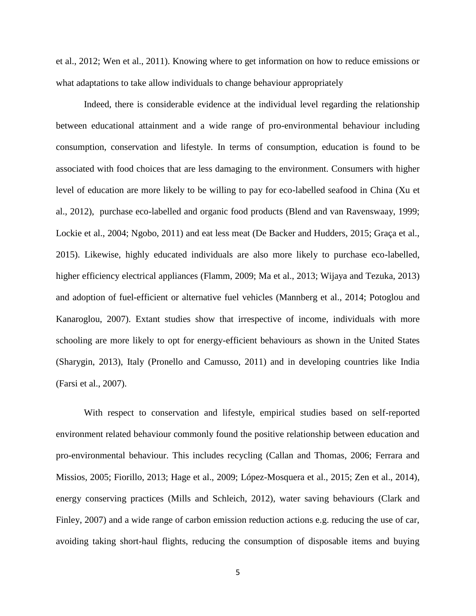et al., 2012; Wen et al., 2011). Knowing where to get information on how to reduce emissions or what adaptations to take allow individuals to change behaviour appropriately

Indeed, there is considerable evidence at the individual level regarding the relationship between educational attainment and a wide range of pro-environmental behaviour including consumption, conservation and lifestyle. In terms of consumption, education is found to be associated with food choices that are less damaging to the environment. Consumers with higher level of education are more likely to be willing to pay for eco-labelled seafood in China (Xu et al., 2012), purchase eco-labelled and organic food products (Blend and van Ravenswaay, 1999; Lockie et al., 2004; Ngobo, 2011) and eat less meat (De Backer and Hudders, 2015; Graça et al., 2015). Likewise, highly educated individuals are also more likely to purchase eco-labelled, higher efficiency electrical appliances (Flamm, 2009; Ma et al., 2013; Wijaya and Tezuka, 2013) and adoption of fuel-efficient or alternative fuel vehicles (Mannberg et al., 2014; Potoglou and Kanaroglou, 2007). Extant studies show that irrespective of income, individuals with more schooling are more likely to opt for energy-efficient behaviours as shown in the United States (Sharygin, 2013), Italy (Pronello and Camusso, 2011) and in developing countries like India (Farsi et al., 2007).

With respect to conservation and lifestyle, empirical studies based on self-reported environment related behaviour commonly found the positive relationship between education and pro-environmental behaviour. This includes recycling (Callan and Thomas, 2006; Ferrara and Missios, 2005; Fiorillo, 2013; Hage et al., 2009; López-Mosquera et al., 2015; Zen et al., 2014), energy conserving practices (Mills and Schleich, 2012), water saving behaviours (Clark and Finley, 2007) and a wide range of carbon emission reduction actions e.g. reducing the use of car, avoiding taking short-haul flights, reducing the consumption of disposable items and buying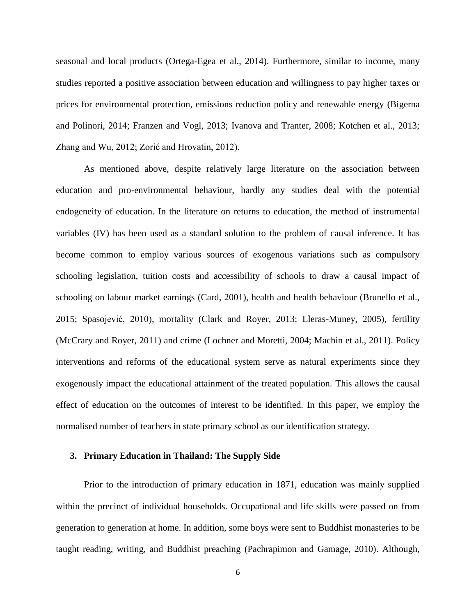seasonal and local products (Ortega-Egea et al., 2014). Furthermore, similar to income, many studies reported a positive association between education and willingness to pay higher taxes or prices for environmental protection, emissions reduction policy and renewable energy (Bigerna and Polinori, 2014; Franzen and Vogl, 2013; Ivanova and Tranter, 2008; Kotchen et al., 2013; Zhang and Wu, 2012; Zorić and Hrovatin, 2012).

As mentioned above, despite relatively large literature on the association between education and pro-environmental behaviour, hardly any studies deal with the potential endogeneity of education. In the literature on returns to education, the method of instrumental variables (IV) has been used as a standard solution to the problem of causal inference. It has become common to employ various sources of exogenous variations such as compulsory schooling legislation, tuition costs and accessibility of schools to draw a causal impact of schooling on labour market earnings (Card, 2001), health and health behaviour (Brunello et al., 2015; Spasojević, 2010), mortality (Clark and Royer, 2013; Lleras-Muney, 2005), fertility (McCrary and Royer, 2011) and crime (Lochner and Moretti, 2004; Machin et al., 2011). Policy interventions and reforms of the educational system serve as natural experiments since they exogenously impact the educational attainment of the treated population. This allows the causal effect of education on the outcomes of interest to be identified. In this paper, we employ the normalised number of teachers in state primary school as our identification strategy.

## **3. Primary Education in Thailand: The Supply Side**

Prior to the introduction of primary education in 1871, education was mainly supplied within the precinct of individual households. Occupational and life skills were passed on from generation to generation at home. In addition, some boys were sent to Buddhist monasteries to be taught reading, writing, and Buddhist preaching (Pachrapimon and Gamage, 2010). Although,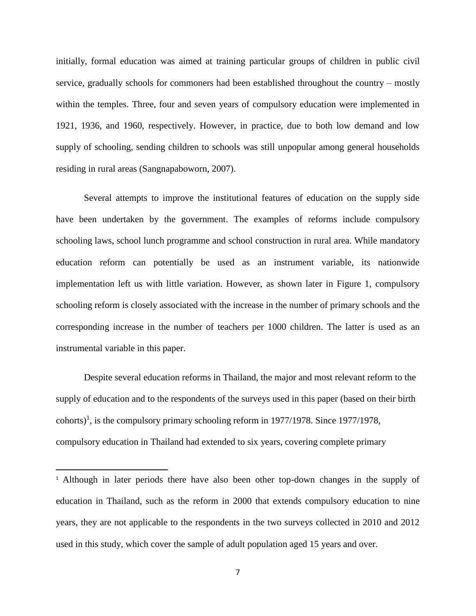initially, formal education was aimed at training particular groups of children in public civil service, gradually schools for commoners had been established throughout the country – mostly within the temples. Three, four and seven years of compulsory education were implemented in 1921, 1936, and 1960, respectively. However, in practice, due to both low demand and low supply of schooling, sending children to schools was still unpopular among general households residing in rural areas (Sangnapaboworn, 2007).

Several attempts to improve the institutional features of education on the supply side have been undertaken by the government. The examples of reforms include compulsory schooling laws, school lunch programme and school construction in rural area. While mandatory education reform can potentially be used as an instrument variable, its nationwide implementation left us with little variation. However, as shown later in Figure 1, compulsory schooling reform is closely associated with the increase in the number of primary schools and the corresponding increase in the number of teachers per 1000 children. The latter is used as an instrumental variable in this paper.

Despite several education reforms in Thailand, the major and most relevant reform to the supply of education and to the respondents of the surveys used in this paper (based on their birth cohorts)<sup>1</sup>, is the compulsory primary schooling reform in 1977/1978. Since 1977/1978, compulsory education in Thailand had extended to six years, covering complete primary

 $\overline{\phantom{a}}$ 

<sup>&</sup>lt;sup>1</sup> Although in later periods there have also been other top-down changes in the supply of education in Thailand, such as the reform in 2000 that extends compulsory education to nine years, they are not applicable to the respondents in the two surveys collected in 2010 and 2012 used in this study, which cover the sample of adult population aged 15 years and over.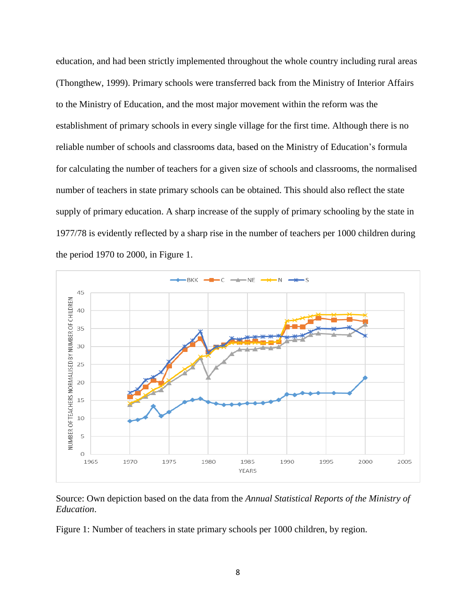education, and had been strictly implemented throughout the whole country including rural areas (Thongthew, 1999). Primary schools were transferred back from the Ministry of Interior Affairs to the Ministry of Education, and the most major movement within the reform was the establishment of primary schools in every single village for the first time. Although there is no reliable number of schools and classrooms data, based on the Ministry of Education's formula for calculating the number of teachers for a given size of schools and classrooms, the normalised number of teachers in state primary schools can be obtained. This should also reflect the state supply of primary education. A sharp increase of the supply of primary schooling by the state in 1977/78 is evidently reflected by a sharp rise in the number of teachers per 1000 children during the period 1970 to 2000, in Figure 1.



Source: Own depiction based on the data from the *Annual Statistical Reports of the Ministry of Education*.

Figure 1: Number of teachers in state primary schools per 1000 children, by region.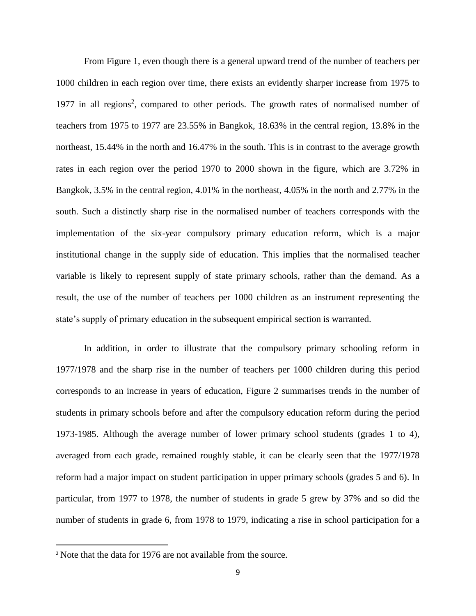From Figure 1, even though there is a general upward trend of the number of teachers per 1000 children in each region over time, there exists an evidently sharper increase from 1975 to 1977 in all regions<sup>2</sup>, compared to other periods. The growth rates of normalised number of teachers from 1975 to 1977 are 23.55% in Bangkok, 18.63% in the central region, 13.8% in the northeast, 15.44% in the north and 16.47% in the south. This is in contrast to the average growth rates in each region over the period 1970 to 2000 shown in the figure, which are 3.72% in Bangkok, 3.5% in the central region, 4.01% in the northeast, 4.05% in the north and 2.77% in the south. Such a distinctly sharp rise in the normalised number of teachers corresponds with the implementation of the six-year compulsory primary education reform, which is a major institutional change in the supply side of education. This implies that the normalised teacher variable is likely to represent supply of state primary schools, rather than the demand. As a result, the use of the number of teachers per 1000 children as an instrument representing the state's supply of primary education in the subsequent empirical section is warranted.

In addition, in order to illustrate that the compulsory primary schooling reform in 1977/1978 and the sharp rise in the number of teachers per 1000 children during this period corresponds to an increase in years of education, Figure 2 summarises trends in the number of students in primary schools before and after the compulsory education reform during the period 1973-1985. Although the average number of lower primary school students (grades 1 to 4), averaged from each grade, remained roughly stable, it can be clearly seen that the 1977/1978 reform had a major impact on student participation in upper primary schools (grades 5 and 6). In particular, from 1977 to 1978, the number of students in grade 5 grew by 37% and so did the number of students in grade 6, from 1978 to 1979, indicating a rise in school participation for a

 $\overline{a}$ 

<sup>2</sup> Note that the data for 1976 are not available from the source.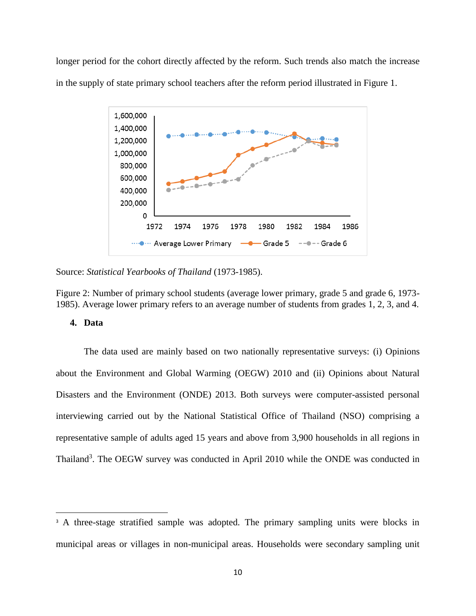longer period for the cohort directly affected by the reform. Such trends also match the increase in the supply of state primary school teachers after the reform period illustrated in Figure 1.



Source: *Statistical Yearbooks of Thailand* (1973-1985).

Figure 2: Number of primary school students (average lower primary, grade 5 and grade 6, 1973- 1985). Average lower primary refers to an average number of students from grades 1, 2, 3, and 4.

## **4. Data**

 $\overline{\phantom{a}}$ 

The data used are mainly based on two nationally representative surveys: (i) Opinions about the Environment and Global Warming (OEGW) 2010 and (ii) Opinions about Natural Disasters and the Environment (ONDE) 2013. Both surveys were computer-assisted personal interviewing carried out by the National Statistical Office of Thailand (NSO) comprising a representative sample of adults aged 15 years and above from 3,900 households in all regions in Thailand<sup>3</sup>. The OEGW survey was conducted in April 2010 while the ONDE was conducted in

<sup>&</sup>lt;sup>3</sup> A three-stage stratified sample was adopted. The primary sampling units were blocks in municipal areas or villages in non-municipal areas. Households were secondary sampling unit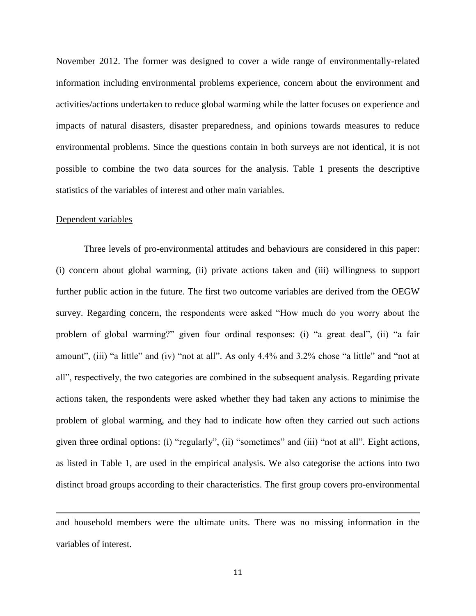November 2012. The former was designed to cover a wide range of environmentally-related information including environmental problems experience, concern about the environment and activities/actions undertaken to reduce global warming while the latter focuses on experience and impacts of natural disasters, disaster preparedness, and opinions towards measures to reduce environmental problems. Since the questions contain in both surveys are not identical, it is not possible to combine the two data sources for the analysis. Table 1 presents the descriptive statistics of the variables of interest and other main variables.

## Dependent variables

 $\overline{a}$ 

Three levels of pro-environmental attitudes and behaviours are considered in this paper: (i) concern about global warming, (ii) private actions taken and (iii) willingness to support further public action in the future. The first two outcome variables are derived from the OEGW survey. Regarding concern, the respondents were asked "How much do you worry about the problem of global warming?" given four ordinal responses: (i) "a great deal", (ii) "a fair amount", (iii) "a little" and (iv) "not at all". As only 4.4% and 3.2% chose "a little" and "not at all", respectively, the two categories are combined in the subsequent analysis. Regarding private actions taken, the respondents were asked whether they had taken any actions to minimise the problem of global warming, and they had to indicate how often they carried out such actions given three ordinal options: (i) "regularly", (ii) "sometimes" and (iii) "not at all". Eight actions, as listed in Table 1, are used in the empirical analysis. We also categorise the actions into two distinct broad groups according to their characteristics. The first group covers pro-environmental

and household members were the ultimate units. There was no missing information in the variables of interest.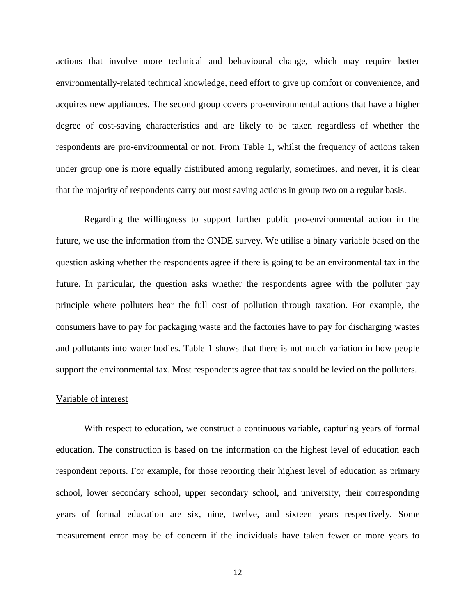actions that involve more technical and behavioural change, which may require better environmentally-related technical knowledge, need effort to give up comfort or convenience, and acquires new appliances. The second group covers pro-environmental actions that have a higher degree of cost-saving characteristics and are likely to be taken regardless of whether the respondents are pro-environmental or not. From Table 1, whilst the frequency of actions taken under group one is more equally distributed among regularly, sometimes, and never, it is clear that the majority of respondents carry out most saving actions in group two on a regular basis.

Regarding the willingness to support further public pro-environmental action in the future, we use the information from the ONDE survey. We utilise a binary variable based on the question asking whether the respondents agree if there is going to be an environmental tax in the future. In particular, the question asks whether the respondents agree with the polluter pay principle where polluters bear the full cost of pollution through taxation. For example, the consumers have to pay for packaging waste and the factories have to pay for discharging wastes and pollutants into water bodies. Table 1 shows that there is not much variation in how people support the environmental tax. Most respondents agree that tax should be levied on the polluters.

## Variable of interest

With respect to education, we construct a continuous variable, capturing years of formal education. The construction is based on the information on the highest level of education each respondent reports. For example, for those reporting their highest level of education as primary school, lower secondary school, upper secondary school, and university, their corresponding years of formal education are six, nine, twelve, and sixteen years respectively. Some measurement error may be of concern if the individuals have taken fewer or more years to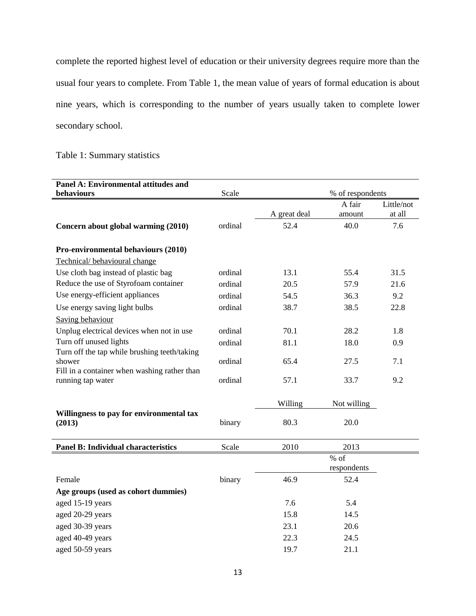complete the reported highest level of education or their university degrees require more than the usual four years to complete. From Table 1, the mean value of years of formal education is about nine years, which is corresponding to the number of years usually taken to complete lower secondary school.

# Table 1: Summary statistics

| <b>Panel A: Environmental attitudes and</b>                       |         |              |                  |            |
|-------------------------------------------------------------------|---------|--------------|------------------|------------|
| behaviours                                                        | Scale   |              | % of respondents |            |
|                                                                   |         |              | A fair           | Little/not |
|                                                                   |         | A great deal | amount           | at all     |
| Concern about global warming (2010)                               | ordinal | 52.4         | 40.0             | 7.6        |
| Pro-environmental behaviours (2010)                               |         |              |                  |            |
| Technical/behavioural change                                      |         |              |                  |            |
| Use cloth bag instead of plastic bag                              | ordinal | 13.1         | 55.4             | 31.5       |
| Reduce the use of Styrofoam container                             | ordinal | 20.5         | 57.9             | 21.6       |
| Use energy-efficient appliances                                   | ordinal | 54.5         | 36.3             | 9.2        |
| Use energy saving light bulbs                                     | ordinal | 38.7         | 38.5             | 22.8       |
| Saving behaviour                                                  |         |              |                  |            |
| Unplug electrical devices when not in use                         | ordinal | 70.1         | 28.2             | 1.8        |
| Turn off unused lights                                            | ordinal | 81.1         | 18.0             | 0.9        |
| Turn off the tap while brushing teeth/taking                      |         |              |                  |            |
| shower                                                            | ordinal | 65.4         | 27.5             | 7.1        |
| Fill in a container when washing rather than<br>running tap water | ordinal | 57.1         | 33.7             | 9.2        |
|                                                                   |         |              |                  |            |
|                                                                   |         | Willing      | Not willing      |            |
| Willingness to pay for environmental tax<br>(2013)                | binary  | 80.3         | 20.0             |            |
| <b>Panel B: Individual characteristics</b>                        | Scale   | 2010         | 2013             |            |
|                                                                   |         |              | $%$ of           |            |
|                                                                   |         |              | respondents      |            |
| Female                                                            | binary  | 46.9         | 52.4             |            |
| Age groups (used as cohort dummies)                               |         |              |                  |            |
| aged 15-19 years                                                  |         | 7.6          | 5.4              |            |
| aged 20-29 years                                                  |         | 15.8         | 14.5             |            |
| aged 30-39 years                                                  |         | 23.1         | 20.6             |            |
| aged 40-49 years                                                  |         | 22.3         | 24.5             |            |
| aged 50-59 years                                                  |         | 19.7         | 21.1             |            |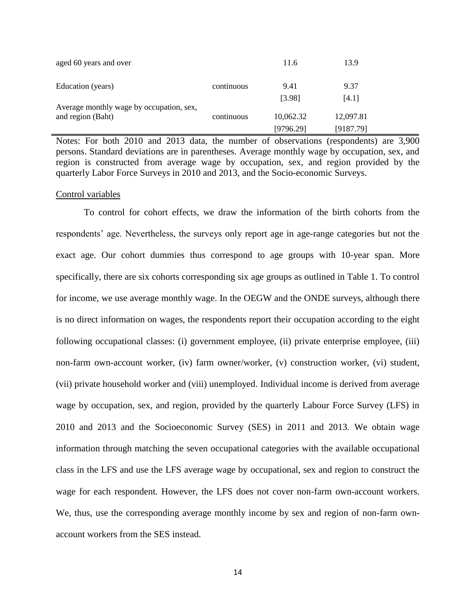| aged 60 years and over                                        |            | 11.6      | 13.9      |  |
|---------------------------------------------------------------|------------|-----------|-----------|--|
| Education (years)                                             | continuous | 9.41      | 9.37      |  |
|                                                               |            | [3.98]    | [4.1]     |  |
| Average monthly wage by occupation, sex,<br>and region (Baht) | continuous | 10,062.32 | 12,097.81 |  |
|                                                               |            | [9796.29] | [9187.79] |  |

Notes: For both 2010 and 2013 data, the number of observations (respondents) are 3,900 persons. Standard deviations are in parentheses. Average monthly wage by occupation, sex, and region is constructed from average wage by occupation, sex, and region provided by the quarterly Labor Force Surveys in 2010 and 2013, and the Socio-economic Surveys.

#### Control variables

To control for cohort effects, we draw the information of the birth cohorts from the respondents' age. Nevertheless, the surveys only report age in age-range categories but not the exact age. Our cohort dummies thus correspond to age groups with 10-year span. More specifically, there are six cohorts corresponding six age groups as outlined in Table 1. To control for income, we use average monthly wage. In the OEGW and the ONDE surveys, although there is no direct information on wages, the respondents report their occupation according to the eight following occupational classes: (i) government employee, (ii) private enterprise employee, (iii) non-farm own-account worker, (iv) farm owner/worker, (v) construction worker, (vi) student, (vii) private household worker and (viii) unemployed. Individual income is derived from average wage by occupation, sex, and region, provided by the quarterly Labour Force Survey (LFS) in 2010 and 2013 and the Socioeconomic Survey (SES) in 2011 and 2013. We obtain wage information through matching the seven occupational categories with the available occupational class in the LFS and use the LFS average wage by occupational, sex and region to construct the wage for each respondent. However, the LFS does not cover non-farm own-account workers. We, thus, use the corresponding average monthly income by sex and region of non-farm ownaccount workers from the SES instead.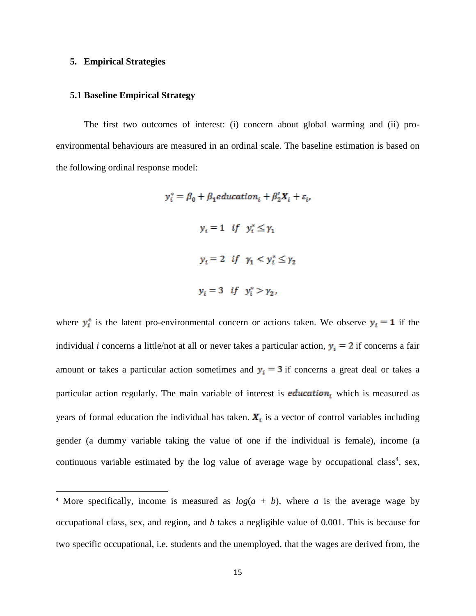## **5. Empirical Strategies**

 $\overline{a}$ 

## **5.1 Baseline Empirical Strategy**

The first two outcomes of interest: (i) concern about global warming and (ii) proenvironmental behaviours are measured in an ordinal scale. The baseline estimation is based on the following ordinal response model:

> $y_i^* = \beta_0 + \beta_1$ education,  $+\beta_2'X_i + \varepsilon_i$  $y_i = 1$  if  $y_i^* \leq y_1$  $y_i = 2$  if  $\gamma_1 < y_i^* \leq \gamma_2$  $y_i = 3$  if  $y_i^* > y_2$ ,

where  $y_i^*$  is the latent pro-environmental concern or actions taken. We observe  $y_i = 1$  if the individual *i* concerns a little/not at all or never takes a particular action,  $y_i = 2$  if concerns a fair amount or takes a particular action sometimes and  $y_i = 3$  if concerns a great deal or takes a particular action regularly. The main variable of interest is *education*<sub>i</sub> which is measured as years of formal education the individual has taken.  $X_i$  is a vector of control variables including gender (a dummy variable taking the value of one if the individual is female), income (a continuous variable estimated by the log value of average wage by occupational class<sup>4</sup>, sex,

<sup>&</sup>lt;sup>4</sup> More specifically, income is measured as  $log(a + b)$ , where *a* is the average wage by occupational class, sex, and region, and *b* takes a negligible value of 0.001. This is because for two specific occupational, i.e. students and the unemployed, that the wages are derived from, the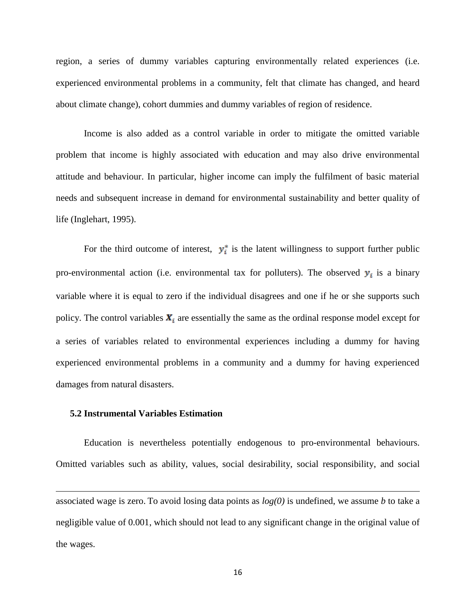region, a series of dummy variables capturing environmentally related experiences (i.e. experienced environmental problems in a community, felt that climate has changed, and heard about climate change), cohort dummies and dummy variables of region of residence.

Income is also added as a control variable in order to mitigate the omitted variable problem that income is highly associated with education and may also drive environmental attitude and behaviour. In particular, higher income can imply the fulfilment of basic material needs and subsequent increase in demand for environmental sustainability and better quality of life (Inglehart, 1995).

For the third outcome of interest,  $y_i^*$  is the latent willingness to support further public pro-environmental action (i.e. environmental tax for polluters). The observed  $y_i$  is a binary variable where it is equal to zero if the individual disagrees and one if he or she supports such policy. The control variables  $\boldsymbol{X}_i$  are essentially the same as the ordinal response model except for a series of variables related to environmental experiences including a dummy for having experienced environmental problems in a community and a dummy for having experienced damages from natural disasters.

#### **5.2 Instrumental Variables Estimation**

 $\overline{\phantom{a}}$ 

Education is nevertheless potentially endogenous to pro-environmental behaviours. Omitted variables such as ability, values, social desirability, social responsibility, and social

associated wage is zero. To avoid losing data points as *log(0)* is undefined, we assume *b* to take a negligible value of 0.001, which should not lead to any significant change in the original value of the wages.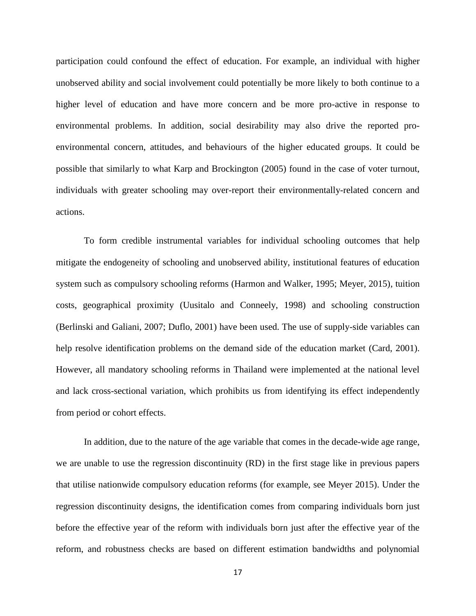participation could confound the effect of education. For example, an individual with higher unobserved ability and social involvement could potentially be more likely to both continue to a higher level of education and have more concern and be more pro-active in response to environmental problems. In addition, social desirability may also drive the reported proenvironmental concern, attitudes, and behaviours of the higher educated groups. It could be possible that similarly to what Karp and Brockington (2005) found in the case of voter turnout, individuals with greater schooling may over-report their environmentally-related concern and actions.

To form credible instrumental variables for individual schooling outcomes that help mitigate the endogeneity of schooling and unobserved ability, institutional features of education system such as compulsory schooling reforms (Harmon and Walker, 1995; Meyer, 2015), tuition costs, geographical proximity (Uusitalo and Conneely, 1998) and schooling construction (Berlinski and Galiani, 2007; Duflo, 2001) have been used. The use of supply-side variables can help resolve identification problems on the demand side of the education market (Card, 2001). However, all mandatory schooling reforms in Thailand were implemented at the national level and lack cross-sectional variation, which prohibits us from identifying its effect independently from period or cohort effects.

In addition, due to the nature of the age variable that comes in the decade-wide age range, we are unable to use the regression discontinuity (RD) in the first stage like in previous papers that utilise nationwide compulsory education reforms (for example, see Meyer 2015). Under the regression discontinuity designs, the identification comes from comparing individuals born just before the effective year of the reform with individuals born just after the effective year of the reform, and robustness checks are based on different estimation bandwidths and polynomial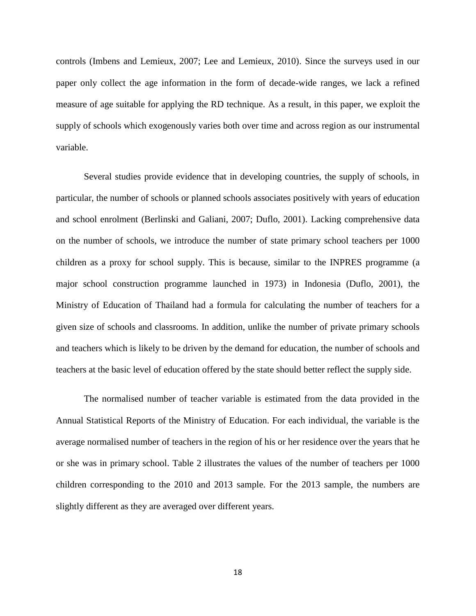controls (Imbens and Lemieux, 2007; Lee and Lemieux, 2010). Since the surveys used in our paper only collect the age information in the form of decade-wide ranges, we lack a refined measure of age suitable for applying the RD technique. As a result, in this paper, we exploit the supply of schools which exogenously varies both over time and across region as our instrumental variable.

Several studies provide evidence that in developing countries, the supply of schools, in particular, the number of schools or planned schools associates positively with years of education and school enrolment (Berlinski and Galiani, 2007; Duflo, 2001). Lacking comprehensive data on the number of schools, we introduce the number of state primary school teachers per 1000 children as a proxy for school supply. This is because, similar to the INPRES programme (a major school construction programme launched in 1973) in Indonesia (Duflo, 2001), the Ministry of Education of Thailand had a formula for calculating the number of teachers for a given size of schools and classrooms. In addition, unlike the number of private primary schools and teachers which is likely to be driven by the demand for education, the number of schools and teachers at the basic level of education offered by the state should better reflect the supply side.

The normalised number of teacher variable is estimated from the data provided in the Annual Statistical Reports of the Ministry of Education. For each individual, the variable is the average normalised number of teachers in the region of his or her residence over the years that he or she was in primary school. Table 2 illustrates the values of the number of teachers per 1000 children corresponding to the 2010 and 2013 sample. For the 2013 sample, the numbers are slightly different as they are averaged over different years.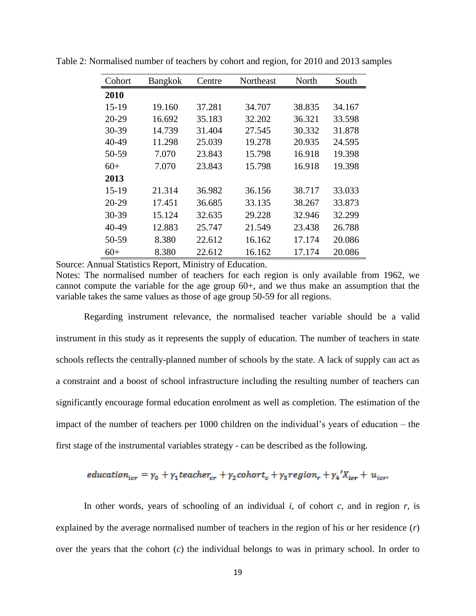| Cohort    | <b>Bangkok</b> | Centre | Northeast | North  | South  |
|-----------|----------------|--------|-----------|--------|--------|
| 2010      |                |        |           |        |        |
| $15-19$   | 19.160         | 37.281 | 34.707    | 38.835 | 34.167 |
| $20 - 29$ | 16.692         | 35.183 | 32.202    | 36.321 | 33.598 |
| 30-39     | 14.739         | 31.404 | 27.545    | 30.332 | 31.878 |
| 40-49     | 11.298         | 25.039 | 19.278    | 20.935 | 24.595 |
| 50-59     | 7.070          | 23.843 | 15.798    | 16.918 | 19.398 |
| $60+$     | 7.070          | 23.843 | 15.798    | 16.918 | 19.398 |
| 2013      |                |        |           |        |        |
| 15-19     | 21.314         | 36.982 | 36.156    | 38.717 | 33.033 |
| $20 - 29$ | 17.451         | 36.685 | 33.135    | 38.267 | 33.873 |
| 30-39     | 15.124         | 32.635 | 29.228    | 32.946 | 32.299 |
| 40-49     | 12.883         | 25.747 | 21.549    | 23.438 | 26.788 |
| 50-59     | 8.380          | 22.612 | 16.162    | 17.174 | 20.086 |
| $60+$     | 8.380          | 22.612 | 16.162    | 17.174 | 20.086 |

Table 2: Normalised number of teachers by cohort and region, for 2010 and 2013 samples

Source: Annual Statistics Report, Ministry of Education.

Notes: The normalised number of teachers for each region is only available from 1962, we cannot compute the variable for the age group 60+, and we thus make an assumption that the variable takes the same values as those of age group 50-59 for all regions.

Regarding instrument relevance, the normalised teacher variable should be a valid instrument in this study as it represents the supply of education. The number of teachers in state schools reflects the centrally-planned number of schools by the state. A lack of supply can act as a constraint and a boost of school infrastructure including the resulting number of teachers can significantly encourage formal education enrolment as well as completion. The estimation of the impact of the number of teachers per 1000 children on the individual's years of education – the first stage of the instrumental variables strategy - can be described as the following.

$$
eduction_{icr} = \gamma_0 + \gamma_1 teacher_{cr} + \gamma_2 cohort_c + \gamma_3 region_r + \gamma_4'X_{icr} + u_{icr}
$$

In other words, years of schooling of an individual  $i$ , of cohort  $c$ , and in region  $r$ , is explained by the average normalised number of teachers in the region of his or her residence (*r*) over the years that the cohort (*c*) the individual belongs to was in primary school. In order to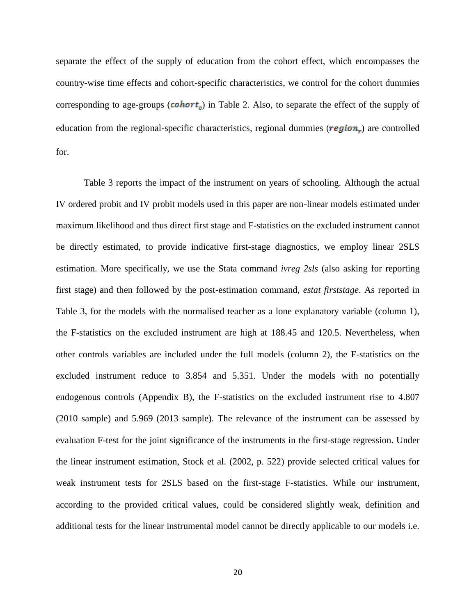separate the effect of the supply of education from the cohort effect, which encompasses the country-wise time effects and cohort-specific characteristics, we control for the cohort dummies corresponding to age-groups ( $\mathbf{cohort}_c$ ) in Table 2. Also, to separate the effect of the supply of education from the regional-specific characteristics, regional dummies ( $region<sub>r</sub>$ ) are controlled for.

Table 3 reports the impact of the instrument on years of schooling. Although the actual IV ordered probit and IV probit models used in this paper are non-linear models estimated under maximum likelihood and thus direct first stage and F-statistics on the excluded instrument cannot be directly estimated, to provide indicative first-stage diagnostics, we employ linear 2SLS estimation. More specifically, we use the Stata command *ivreg 2sls* (also asking for reporting first stage) and then followed by the post-estimation command, *estat firststage*. As reported in Table 3, for the models with the normalised teacher as a lone explanatory variable (column 1), the F-statistics on the excluded instrument are high at 188.45 and 120.5. Nevertheless, when other controls variables are included under the full models (column 2), the F-statistics on the excluded instrument reduce to 3.854 and 5.351. Under the models with no potentially endogenous controls (Appendix B), the F-statistics on the excluded instrument rise to 4.807 (2010 sample) and 5.969 (2013 sample). The relevance of the instrument can be assessed by evaluation F-test for the joint significance of the instruments in the first-stage regression. Under the linear instrument estimation, Stock et al. (2002, p. 522) provide selected critical values for weak instrument tests for 2SLS based on the first-stage F-statistics. While our instrument, according to the provided critical values, could be considered slightly weak, definition and additional tests for the linear instrumental model cannot be directly applicable to our models i.e.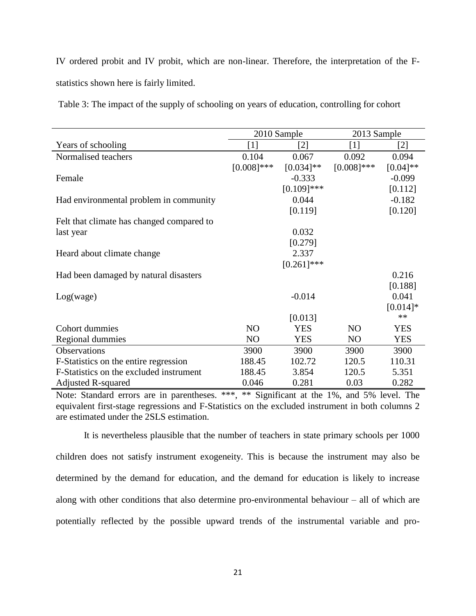IV ordered probit and IV probit, which are non-linear. Therefore, the interpretation of the Fstatistics shown here is fairly limited.

|                                           |                | 2010 Sample   | 2013 Sample    |             |
|-------------------------------------------|----------------|---------------|----------------|-------------|
| Years of schooling                        | [1]            | $[2]$         | $[1]$          | $[2]$       |
| Normalised teachers                       | 0.104          | 0.067         | 0.092          | 0.094       |
|                                           | $[0.008]$ ***  | $[0.034]$ **  | $[0.008]$ ***  | $[0.04]$ ** |
| Female                                    |                | $-0.333$      |                | $-0.099$    |
|                                           |                | $[0.109]$ *** |                | [0.112]     |
| Had environmental problem in community    |                | 0.044         |                | $-0.182$    |
|                                           |                | [0.119]       |                | [0.120]     |
| Felt that climate has changed compared to |                |               |                |             |
| last year                                 |                | 0.032         |                |             |
|                                           |                | [0.279]       |                |             |
| Heard about climate change                |                | 2.337         |                |             |
|                                           |                | $[0.261]$ *** |                |             |
| Had been damaged by natural disasters     |                |               |                | 0.216       |
|                                           |                |               |                | [0.188]     |
| Log(wage)                                 |                | $-0.014$      |                | 0.041       |
|                                           |                |               |                | $[0.014]$ * |
|                                           |                | [0.013]       |                | **          |
| Cohort dummies                            | N <sub>O</sub> | YES           | NO             | <b>YES</b>  |
| Regional dummies                          | NO             | <b>YES</b>    | N <sub>O</sub> | <b>YES</b>  |
| Observations                              | 3900           | 3900          | 3900           | 3900        |
| F-Statistics on the entire regression     | 188.45         | 102.72        | 120.5          | 110.31      |
| F-Statistics on the excluded instrument   | 188.45         | 3.854         | 120.5          | 5.351       |
| <b>Adjusted R-squared</b>                 | 0.046          | 0.281         | 0.03           | 0.282       |

Note: Standard errors are in parentheses. \*\*\*, \*\* Significant at the 1%, and 5% level. The equivalent first-stage regressions and F-Statistics on the excluded instrument in both columns 2 are estimated under the 2SLS estimation.

It is nevertheless plausible that the number of teachers in state primary schools per 1000 children does not satisfy instrument exogeneity. This is because the instrument may also be determined by the demand for education, and the demand for education is likely to increase along with other conditions that also determine pro-environmental behaviour – all of which are potentially reflected by the possible upward trends of the instrumental variable and pro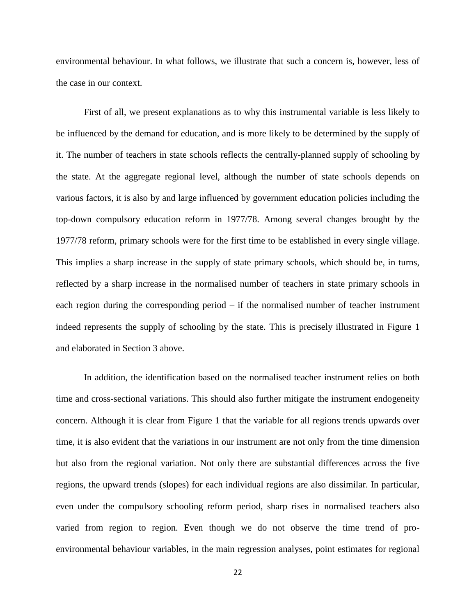environmental behaviour. In what follows, we illustrate that such a concern is, however, less of the case in our context.

First of all, we present explanations as to why this instrumental variable is less likely to be influenced by the demand for education, and is more likely to be determined by the supply of it. The number of teachers in state schools reflects the centrally-planned supply of schooling by the state. At the aggregate regional level, although the number of state schools depends on various factors, it is also by and large influenced by government education policies including the top-down compulsory education reform in 1977/78. Among several changes brought by the 1977/78 reform, primary schools were for the first time to be established in every single village. This implies a sharp increase in the supply of state primary schools, which should be, in turns, reflected by a sharp increase in the normalised number of teachers in state primary schools in each region during the corresponding period – if the normalised number of teacher instrument indeed represents the supply of schooling by the state. This is precisely illustrated in Figure 1 and elaborated in Section 3 above.

In addition, the identification based on the normalised teacher instrument relies on both time and cross-sectional variations. This should also further mitigate the instrument endogeneity concern. Although it is clear from Figure 1 that the variable for all regions trends upwards over time, it is also evident that the variations in our instrument are not only from the time dimension but also from the regional variation. Not only there are substantial differences across the five regions, the upward trends (slopes) for each individual regions are also dissimilar. In particular, even under the compulsory schooling reform period, sharp rises in normalised teachers also varied from region to region. Even though we do not observe the time trend of proenvironmental behaviour variables, in the main regression analyses, point estimates for regional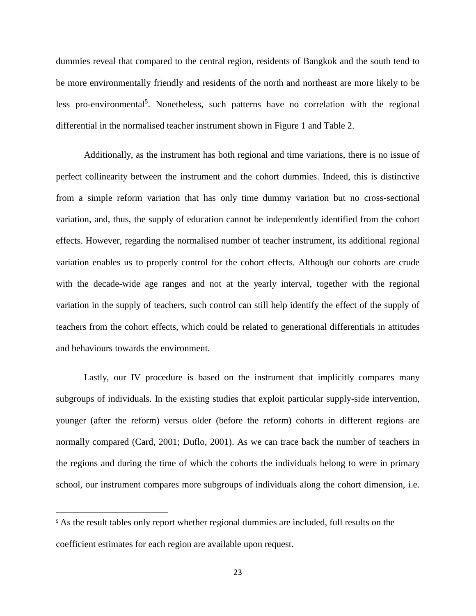dummies reveal that compared to the central region, residents of Bangkok and the south tend to be more environmentally friendly and residents of the north and northeast are more likely to be less pro-environmental<sup>5</sup>. Nonetheless, such patterns have no correlation with the regional differential in the normalised teacher instrument shown in Figure 1 and Table 2.

Additionally, as the instrument has both regional and time variations, there is no issue of perfect collinearity between the instrument and the cohort dummies. Indeed, this is distinctive from a simple reform variation that has only time dummy variation but no cross-sectional variation, and, thus, the supply of education cannot be independently identified from the cohort effects. However, regarding the normalised number of teacher instrument, its additional regional variation enables us to properly control for the cohort effects. Although our cohorts are crude with the decade-wide age ranges and not at the yearly interval, together with the regional variation in the supply of teachers, such control can still help identify the effect of the supply of teachers from the cohort effects, which could be related to generational differentials in attitudes and behaviours towards the environment.

Lastly, our IV procedure is based on the instrument that implicitly compares many subgroups of individuals. In the existing studies that exploit particular supply-side intervention, younger (after the reform) versus older (before the reform) cohorts in different regions are normally compared (Card, 2001; Duflo, 2001). As we can trace back the number of teachers in the regions and during the time of which the cohorts the individuals belong to were in primary school, our instrument compares more subgroups of individuals along the cohort dimension, i.e.

 $\overline{\phantom{a}}$ 

<sup>&</sup>lt;sup>5</sup> As the result tables only report whether regional dummies are included, full results on the coefficient estimates for each region are available upon request.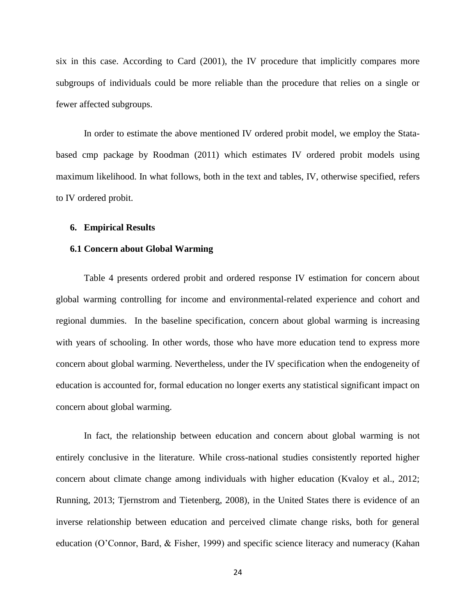six in this case. According to Card (2001), the IV procedure that implicitly compares more subgroups of individuals could be more reliable than the procedure that relies on a single or fewer affected subgroups.

In order to estimate the above mentioned IV ordered probit model, we employ the Statabased cmp package by Roodman (2011) which estimates IV ordered probit models using maximum likelihood. In what follows, both in the text and tables, IV, otherwise specified, refers to IV ordered probit.

#### **6. Empirical Results**

## **6.1 Concern about Global Warming**

Table 4 presents ordered probit and ordered response IV estimation for concern about global warming controlling for income and environmental-related experience and cohort and regional dummies. In the baseline specification, concern about global warming is increasing with years of schooling. In other words, those who have more education tend to express more concern about global warming. Nevertheless, under the IV specification when the endogeneity of education is accounted for, formal education no longer exerts any statistical significant impact on concern about global warming.

In fact, the relationship between education and concern about global warming is not entirely conclusive in the literature. While cross-national studies consistently reported higher concern about climate change among individuals with higher education (Kvaloy et al., 2012; Running, 2013; Tjernstrom and Tietenberg, 2008), in the United States there is evidence of an inverse relationship between education and perceived climate change risks, both for general education (O'Connor, Bard, & Fisher, 1999) and specific science literacy and numeracy (Kahan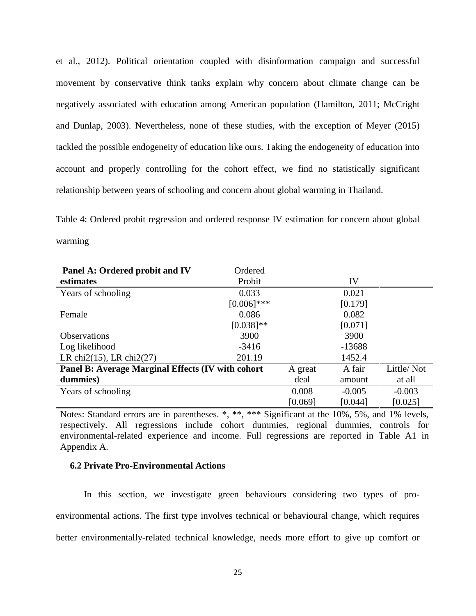et al., 2012). Political orientation coupled with disinformation campaign and successful movement by conservative think tanks explain why concern about climate change can be negatively associated with education among American population (Hamilton, 2011; McCright and Dunlap, 2003). Nevertheless, none of these studies, with the exception of Meyer (2015) tackled the possible endogeneity of education like ours. Taking the endogeneity of education into account and properly controlling for the cohort effect, we find no statistically significant relationship between years of schooling and concern about global warming in Thailand.

Table 4: Ordered probit regression and ordered response IV estimation for concern about global warming

| Panel A: Ordered probit and IV                    | Ordered       |         |          |            |
|---------------------------------------------------|---------------|---------|----------|------------|
| estimates                                         | Probit        |         | IV       |            |
| Years of schooling                                | 0.033         |         | 0.021    |            |
|                                                   | $[0.006]$ *** |         | [0.179]  |            |
| Female                                            | 0.086         |         | 0.082    |            |
|                                                   | $[0.038]$ **  |         | [0.071]  |            |
| <b>Observations</b>                               | 3900          |         | 3900     |            |
| Log likelihood                                    | $-3416$       |         | $-13688$ |            |
| LR chi $2(15)$ , LR chi $2(27)$                   | 201.19        |         | 1452.4   |            |
| Panel B: Average Marginal Effects (IV with cohort |               | A great | A fair   | Little/Not |
| dummies)                                          |               | deal    | amount   | at all     |
| Years of schooling                                |               | 0.008   | $-0.005$ | $-0.003$   |
|                                                   |               | [0.069] | [0.044]  | [0.025]    |

Notes: Standard errors are in parentheses. \*, \*\*, \*\*\* Significant at the 10%, 5%, and 1% levels, respectively. All regressions include cohort dummies, regional dummies, controls for environmental-related experience and income. Full regressions are reported in Table A1 in Appendix A.

## **6.2 Private Pro-Environmental Actions**

In this section, we investigate green behaviours considering two types of proenvironmental actions. The first type involves technical or behavioural change, which requires better environmentally-related technical knowledge, needs more effort to give up comfort or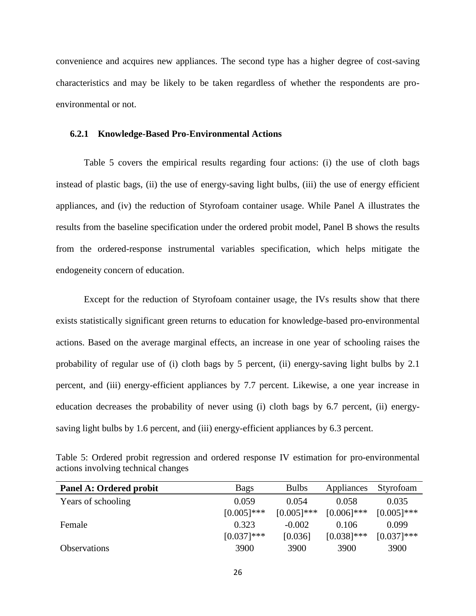convenience and acquires new appliances. The second type has a higher degree of cost-saving characteristics and may be likely to be taken regardless of whether the respondents are proenvironmental or not.

## **6.2.1 Knowledge-Based Pro-Environmental Actions**

Table 5 covers the empirical results regarding four actions: (i) the use of cloth bags instead of plastic bags, (ii) the use of energy-saving light bulbs, (iii) the use of energy efficient appliances, and (iv) the reduction of Styrofoam container usage. While Panel A illustrates the results from the baseline specification under the ordered probit model, Panel B shows the results from the ordered-response instrumental variables specification, which helps mitigate the endogeneity concern of education.

Except for the reduction of Styrofoam container usage, the IVs results show that there exists statistically significant green returns to education for knowledge-based pro-environmental actions. Based on the average marginal effects, an increase in one year of schooling raises the probability of regular use of (i) cloth bags by 5 percent, (ii) energy-saving light bulbs by 2.1 percent, and (iii) energy-efficient appliances by 7.7 percent. Likewise, a one year increase in education decreases the probability of never using (i) cloth bags by 6.7 percent, (ii) energysaving light bulbs by 1.6 percent, and (iii) energy-efficient appliances by 6.3 percent.

| Table 5: Ordered probit regression and ordered response IV estimation for pro-environmental |  |  |  |  |
|---------------------------------------------------------------------------------------------|--|--|--|--|
| actions involving technical changes                                                         |  |  |  |  |

| <b>Panel A: Ordered probit</b> | <b>Bags</b>   | <b>Bulbs</b>  | Appliances    | Styrofoam     |
|--------------------------------|---------------|---------------|---------------|---------------|
| Years of schooling             | 0.059         | 0.054         | 0.058         | 0.035         |
|                                | $[0.005]$ *** | $[0.005]$ *** | $[0.006]$ *** | $[0.005]$ *** |
| Female                         | 0.323         | $-0.002$      | 0.106         | 0.099         |
|                                | $[0.037]$ *** | [0.036]       | $[0.038]$ *** | $[0.037]$ *** |
| <b>Observations</b>            | 3900          | 3900          | 3900          | 3900          |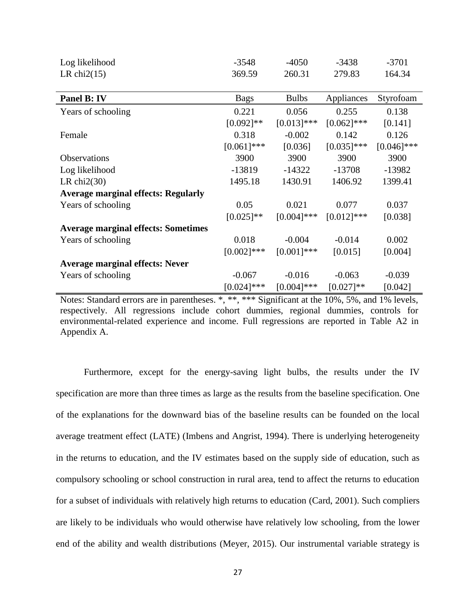| Log likelihood                             | $-3548$       | $-4050$       | $-3438$       | $-3701$       |
|--------------------------------------------|---------------|---------------|---------------|---------------|
| LR chi $2(15)$                             | 369.59        | 260.31        | 279.83        | 164.34        |
|                                            |               |               |               |               |
| Panel B: IV                                | <b>Bags</b>   | <b>Bulbs</b>  | Appliances    | Styrofoam     |
| Years of schooling                         | 0.221         | 0.056         | 0.255         | 0.138         |
|                                            | $[0.092]$ **  | $[0.013]$ *** | $[0.062]$ *** | [0.141]       |
| Female                                     | 0.318         | $-0.002$      | 0.142         | 0.126         |
|                                            | $[0.061]$ *** | [0.036]       | $[0.035]$ *** | $[0.046]$ *** |
| Observations                               | 3900          | 3900          | 3900          | 3900          |
| Log likelihood                             | $-13819$      | $-14322$      | $-13708$      | $-13982$      |
| LR chi $2(30)$                             | 1495.18       | 1430.91       | 1406.92       | 1399.41       |
| <b>Average marginal effects: Regularly</b> |               |               |               |               |
| Years of schooling                         | 0.05          | 0.021         | 0.077         | 0.037         |
|                                            | $[0.025]$ **  | $[0.004]$ *** | $[0.012]$ *** | [0.038]       |
| <b>Average marginal effects: Sometimes</b> |               |               |               |               |
| Years of schooling                         | 0.018         | $-0.004$      | $-0.014$      | 0.002         |
|                                            | $[0.002]$ *** | $[0.001]***$  | [0.015]       | [0.004]       |
| <b>Average marginal effects: Never</b>     |               |               |               |               |
| Years of schooling                         | $-0.067$      | $-0.016$      | $-0.063$      | $-0.039$      |
|                                            | $[0.024]$ *** | $[0.004]$ *** | $[0.027]**$   | [0.042]       |

Notes: Standard errors are in parentheses. \*, \*\*, \*\*\* Significant at the 10%, 5%, and 1% levels, respectively. All regressions include cohort dummies, regional dummies, controls for environmental-related experience and income. Full regressions are reported in Table A2 in Appendix A.

Furthermore, except for the energy-saving light bulbs, the results under the IV specification are more than three times as large as the results from the baseline specification. One of the explanations for the downward bias of the baseline results can be founded on the local average treatment effect (LATE) (Imbens and Angrist, 1994). There is underlying heterogeneity in the returns to education, and the IV estimates based on the supply side of education, such as compulsory schooling or school construction in rural area, tend to affect the returns to education for a subset of individuals with relatively high returns to education (Card, 2001). Such compliers are likely to be individuals who would otherwise have relatively low schooling, from the lower end of the ability and wealth distributions (Meyer, 2015). Our instrumental variable strategy is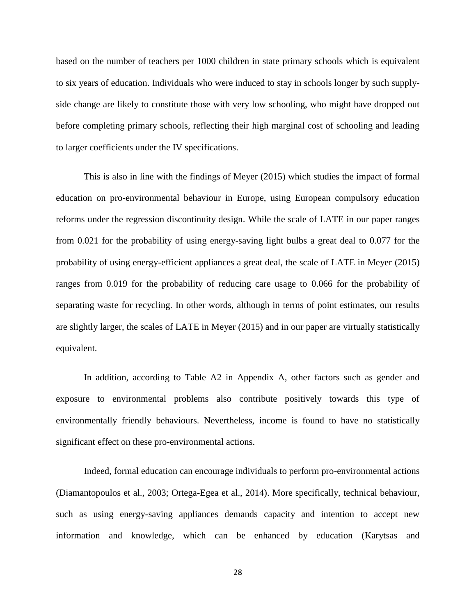based on the number of teachers per 1000 children in state primary schools which is equivalent to six years of education. Individuals who were induced to stay in schools longer by such supplyside change are likely to constitute those with very low schooling, who might have dropped out before completing primary schools, reflecting their high marginal cost of schooling and leading to larger coefficients under the IV specifications.

This is also in line with the findings of Meyer (2015) which studies the impact of formal education on pro-environmental behaviour in Europe, using European compulsory education reforms under the regression discontinuity design. While the scale of LATE in our paper ranges from 0.021 for the probability of using energy-saving light bulbs a great deal to 0.077 for the probability of using energy-efficient appliances a great deal, the scale of LATE in Meyer (2015) ranges from 0.019 for the probability of reducing care usage to 0.066 for the probability of separating waste for recycling. In other words, although in terms of point estimates, our results are slightly larger, the scales of LATE in Meyer (2015) and in our paper are virtually statistically equivalent.

In addition, according to Table A2 in Appendix A, other factors such as gender and exposure to environmental problems also contribute positively towards this type of environmentally friendly behaviours. Nevertheless, income is found to have no statistically significant effect on these pro-environmental actions.

Indeed, formal education can encourage individuals to perform pro-environmental actions (Diamantopoulos et al., 2003; Ortega-Egea et al., 2014). More specifically, technical behaviour, such as using energy-saving appliances demands capacity and intention to accept new information and knowledge, which can be enhanced by education (Karytsas and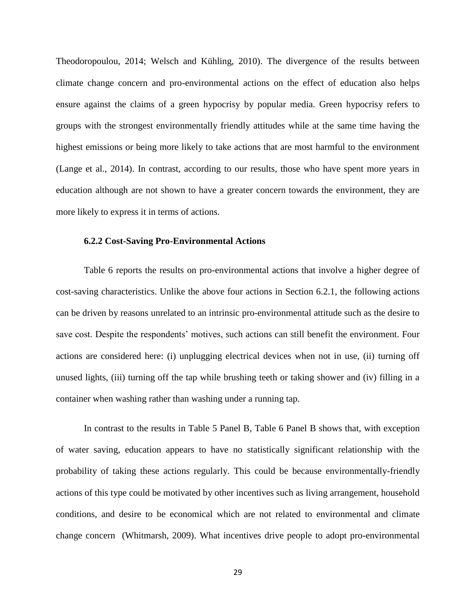Theodoropoulou, 2014; Welsch and Kühling, 2010). The divergence of the results between climate change concern and pro-environmental actions on the effect of education also helps ensure against the claims of a green hypocrisy by popular media. Green hypocrisy refers to groups with the strongest environmentally friendly attitudes while at the same time having the highest emissions or being more likely to take actions that are most harmful to the environment (Lange et al., 2014). In contrast, according to our results, those who have spent more years in education although are not shown to have a greater concern towards the environment, they are more likely to express it in terms of actions.

### **6.2.2 Cost-Saving Pro-Environmental Actions**

Table 6 reports the results on pro-environmental actions that involve a higher degree of cost-saving characteristics. Unlike the above four actions in Section 6.2.1, the following actions can be driven by reasons unrelated to an intrinsic pro-environmental attitude such as the desire to save cost. Despite the respondents' motives, such actions can still benefit the environment. Four actions are considered here: (i) unplugging electrical devices when not in use, (ii) turning off unused lights, (iii) turning off the tap while brushing teeth or taking shower and (iv) filling in a container when washing rather than washing under a running tap.

In contrast to the results in Table 5 Panel B, Table 6 Panel B shows that, with exception of water saving, education appears to have no statistically significant relationship with the probability of taking these actions regularly. This could be because environmentally-friendly actions of this type could be motivated by other incentives such as living arrangement, household conditions, and desire to be economical which are not related to environmental and climate change concern (Whitmarsh, 2009). What incentives drive people to adopt pro-environmental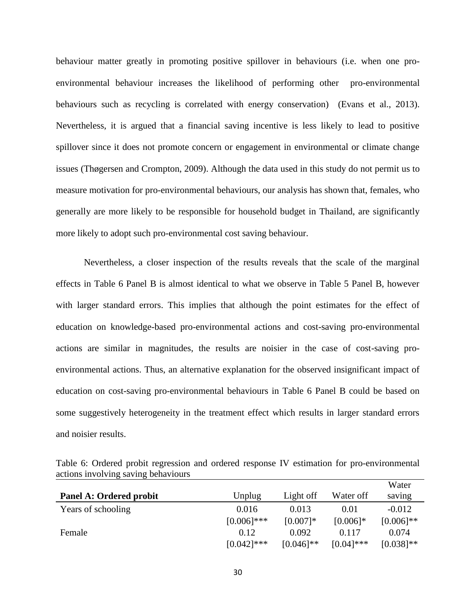behaviour matter greatly in promoting positive spillover in behaviours (i.e. when one proenvironmental behaviour increases the likelihood of performing other pro-environmental behaviours such as recycling is correlated with energy conservation) (Evans et al., 2013). Nevertheless, it is argued that a financial saving incentive is less likely to lead to positive spillover since it does not promote concern or engagement in environmental or climate change issues (Thøgersen and Crompton, 2009). Although the data used in this study do not permit us to measure motivation for pro-environmental behaviours, our analysis has shown that, females, who generally are more likely to be responsible for household budget in Thailand, are significantly more likely to adopt such pro-environmental cost saving behaviour.

Nevertheless, a closer inspection of the results reveals that the scale of the marginal effects in Table 6 Panel B is almost identical to what we observe in Table 5 Panel B, however with larger standard errors. This implies that although the point estimates for the effect of education on knowledge-based pro-environmental actions and cost-saving pro-environmental actions are similar in magnitudes, the results are noisier in the case of cost-saving proenvironmental actions. Thus, an alternative explanation for the observed insignificant impact of education on cost-saving pro-environmental behaviours in Table 6 Panel B could be based on some suggestively heterogeneity in the treatment effect which results in larger standard errors and noisier results.

|  |  | Table 6: Ordered probit regression and ordered response IV estimation for pro-environmental |  |  |  |  |
|--|--|---------------------------------------------------------------------------------------------|--|--|--|--|
|  |  | actions involving saving behaviours                                                         |  |  |  |  |

|                         |               |              |              | Water        |
|-------------------------|---------------|--------------|--------------|--------------|
| Panel A: Ordered probit | Unplug        | Light off    | Water off    | saving       |
| Years of schooling      | 0.016         | 0.013        | 0.01         | $-0.012$     |
|                         | $[0.006]$ *** | $[0.007]$ *  | $[0.006]$ *  | $[0.006]$ ** |
| Female                  | 0.12          | 0.092        | 0.117        | 0.074        |
|                         | $[0.042]$ *** | $[0.046]$ ** | $[0.04]$ *** | $[0.038]$ ** |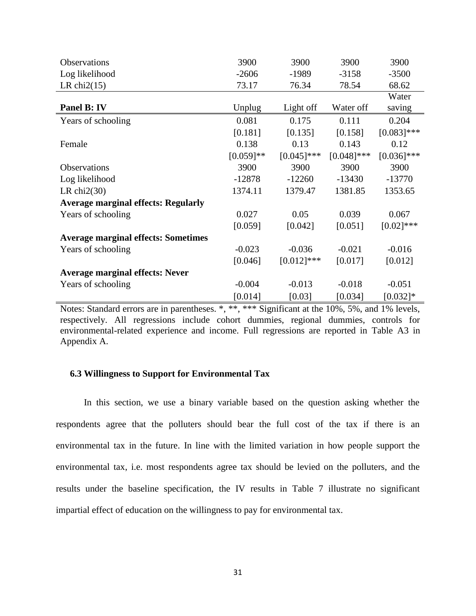| <b>Observations</b>                        | 3900         | 3900          | 3900          | 3900          |
|--------------------------------------------|--------------|---------------|---------------|---------------|
| Log likelihood                             | $-2606$      | $-1989$       | $-3158$       | $-3500$       |
| LR chi $2(15)$                             | 73.17        | 76.34         | 78.54         | 68.62         |
|                                            |              |               |               | Water         |
| Panel B: IV                                | Unplug       | Light off     | Water off     | saving        |
| Years of schooling                         | 0.081        | 0.175         | 0.111         | 0.204         |
|                                            | [0.181]      | [0.135]       | [0.158]       | $[0.083]$ *** |
| Female                                     | 0.138        | 0.13          | 0.143         | 0.12          |
|                                            | $[0.059]$ ** | $[0.045]$ *** | $[0.048]$ *** | $[0.036]$ *** |
| Observations                               | 3900         | 3900          | 3900          | 3900          |
| Log likelihood                             | $-12878$     | $-12260$      | $-13430$      | $-13770$      |
| LR chi $2(30)$                             | 1374.11      | 1379.47       | 1381.85       | 1353.65       |
| <b>Average marginal effects: Regularly</b> |              |               |               |               |
| Years of schooling                         | 0.027        | 0.05          | 0.039         | 0.067         |
|                                            | [0.059]      | [0.042]       | [0.051]       | $[0.02]$ ***  |
| <b>Average marginal effects: Sometimes</b> |              |               |               |               |
| Years of schooling                         | $-0.023$     | $-0.036$      | $-0.021$      | $-0.016$      |
|                                            | [0.046]      | $[0.012]$ *** | [0.017]       | [0.012]       |
| <b>Average marginal effects: Never</b>     |              |               |               |               |
| Years of schooling                         | $-0.004$     | $-0.013$      | $-0.018$      | $-0.051$      |
|                                            | [0.014]      | [0.03]        | [0.034]       | $[0.032]$ *   |

Notes: Standard errors are in parentheses. \*, \*\*, \*\*\* Significant at the 10%, 5%, and 1% levels, respectively. All regressions include cohort dummies, regional dummies, controls for environmental-related experience and income. Full regressions are reported in Table A3 in Appendix A.

## **6.3 Willingness to Support for Environmental Tax**

In this section, we use a binary variable based on the question asking whether the respondents agree that the polluters should bear the full cost of the tax if there is an environmental tax in the future. In line with the limited variation in how people support the environmental tax, i.e. most respondents agree tax should be levied on the polluters, and the results under the baseline specification, the IV results in Table 7 illustrate no significant impartial effect of education on the willingness to pay for environmental tax.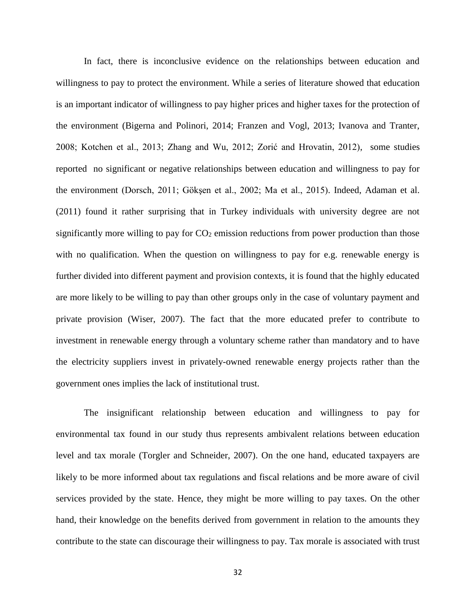In fact, there is inconclusive evidence on the relationships between education and willingness to pay to protect the environment. While a series of literature showed that education is an important indicator of willingness to pay higher prices and higher taxes for the protection of the environment (Bigerna and Polinori, 2014; Franzen and Vogl, 2013; Ivanova and Tranter, 2008; Kotchen et al., 2013; Zhang and Wu, 2012; Zorić and Hrovatin, 2012), some studies reported no significant or negative relationships between education and willingness to pay for the environment (Dorsch, 2011; Gökşen et al., 2002; Ma et al., 2015). Indeed, Adaman et al. (2011) found it rather surprising that in Turkey individuals with university degree are not significantly more willing to pay for  $CO<sub>2</sub>$  emission reductions from power production than those with no qualification. When the question on willingness to pay for e.g. renewable energy is further divided into different payment and provision contexts, it is found that the highly educated are more likely to be willing to pay than other groups only in the case of voluntary payment and private provision (Wiser, 2007). The fact that the more educated prefer to contribute to investment in renewable energy through a voluntary scheme rather than mandatory and to have the electricity suppliers invest in privately-owned renewable energy projects rather than the government ones implies the lack of institutional trust.

The insignificant relationship between education and willingness to pay for environmental tax found in our study thus represents ambivalent relations between education level and tax morale (Torgler and Schneider, 2007). On the one hand, educated taxpayers are likely to be more informed about tax regulations and fiscal relations and be more aware of civil services provided by the state. Hence, they might be more willing to pay taxes. On the other hand, their knowledge on the benefits derived from government in relation to the amounts they contribute to the state can discourage their willingness to pay. Tax morale is associated with trust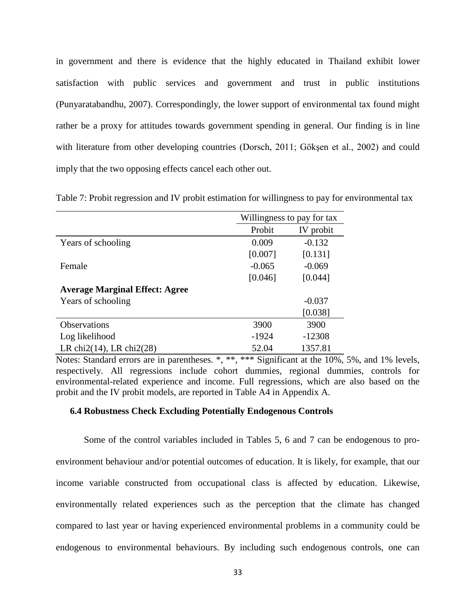in government and there is evidence that the highly educated in Thailand exhibit lower satisfaction with public services and government and trust in public institutions (Punyaratabandhu, 2007). Correspondingly, the lower support of environmental tax found might rather be a proxy for attitudes towards government spending in general. Our finding is in line with literature from other developing countries (Dorsch, 2011; Gökşen et al., 2002) and could imply that the two opposing effects cancel each other out.

|                                       |          | Willingness to pay for tax |  |  |
|---------------------------------------|----------|----------------------------|--|--|
|                                       | Probit   | IV probit                  |  |  |
| Years of schooling                    | 0.009    | $-0.132$                   |  |  |
|                                       | [0.007]  | [0.131]                    |  |  |
| Female                                | $-0.065$ | $-0.069$                   |  |  |
|                                       | [0.046]  | [0.044]                    |  |  |
| <b>Average Marginal Effect: Agree</b> |          |                            |  |  |
| Years of schooling                    |          | $-0.037$                   |  |  |
|                                       |          | [0.038]                    |  |  |
| Observations                          | 3900     | 3900                       |  |  |
| Log likelihood                        | $-1924$  | $-12308$                   |  |  |
| LR chi $2(14)$ , LR chi $2(28)$       | 52.04    | 1357.81                    |  |  |

Table 7: Probit regression and IV probit estimation for willingness to pay for environmental tax

Notes: Standard errors are in parentheses. \*, \*\*, \*\*\* Significant at the 10%, 5%, and 1% levels, respectively. All regressions include cohort dummies, regional dummies, controls for environmental-related experience and income. Full regressions, which are also based on the probit and the IV probit models, are reported in Table A4 in Appendix A.

## **6.4 Robustness Check Excluding Potentially Endogenous Controls**

Some of the control variables included in Tables 5, 6 and 7 can be endogenous to proenvironment behaviour and/or potential outcomes of education. It is likely, for example, that our income variable constructed from occupational class is affected by education. Likewise, environmentally related experiences such as the perception that the climate has changed compared to last year or having experienced environmental problems in a community could be endogenous to environmental behaviours. By including such endogenous controls, one can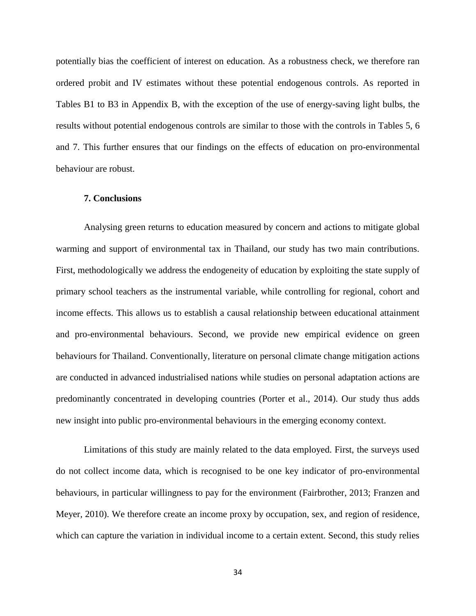potentially bias the coefficient of interest on education. As a robustness check, we therefore ran ordered probit and IV estimates without these potential endogenous controls. As reported in Tables B1 to B3 in Appendix B, with the exception of the use of energy-saving light bulbs, the results without potential endogenous controls are similar to those with the controls in Tables 5, 6 and 7. This further ensures that our findings on the effects of education on pro-environmental behaviour are robust.

## **7. Conclusions**

Analysing green returns to education measured by concern and actions to mitigate global warming and support of environmental tax in Thailand, our study has two main contributions. First, methodologically we address the endogeneity of education by exploiting the state supply of primary school teachers as the instrumental variable, while controlling for regional, cohort and income effects. This allows us to establish a causal relationship between educational attainment and pro-environmental behaviours. Second, we provide new empirical evidence on green behaviours for Thailand. Conventionally, literature on personal climate change mitigation actions are conducted in advanced industrialised nations while studies on personal adaptation actions are predominantly concentrated in developing countries (Porter et al., 2014). Our study thus adds new insight into public pro-environmental behaviours in the emerging economy context.

Limitations of this study are mainly related to the data employed. First, the surveys used do not collect income data, which is recognised to be one key indicator of pro-environmental behaviours, in particular willingness to pay for the environment (Fairbrother, 2013; Franzen and Meyer, 2010). We therefore create an income proxy by occupation, sex, and region of residence, which can capture the variation in individual income to a certain extent. Second, this study relies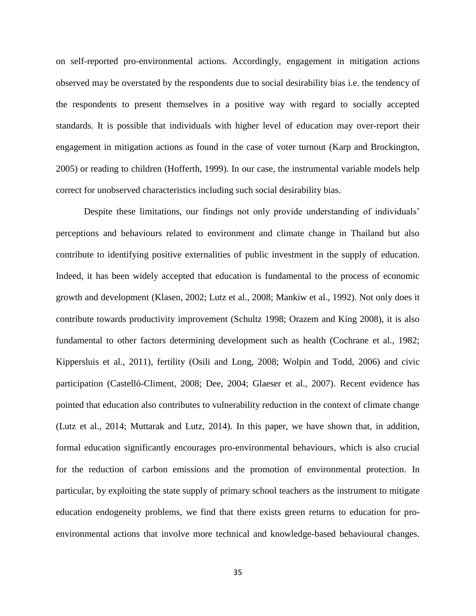on self-reported pro-environmental actions. Accordingly, engagement in mitigation actions observed may be overstated by the respondents due to social desirability bias i.e. the tendency of the respondents to present themselves in a positive way with regard to socially accepted standards. It is possible that individuals with higher level of education may over-report their engagement in mitigation actions as found in the case of voter turnout (Karp and Brockington, 2005) or reading to children (Hofferth, 1999). In our case, the instrumental variable models help correct for unobserved characteristics including such social desirability bias.

Despite these limitations, our findings not only provide understanding of individuals' perceptions and behaviours related to environment and climate change in Thailand but also contribute to identifying positive externalities of public investment in the supply of education. Indeed, it has been widely accepted that education is fundamental to the process of economic growth and development (Klasen, 2002; Lutz et al., 2008; Mankiw et al., 1992). Not only does it contribute towards productivity improvement (Schultz 1998; Orazem and King 2008), it is also fundamental to other factors determining development such as health (Cochrane et al., 1982; Kippersluis et al., 2011), fertility (Osili and Long, 2008; Wolpin and Todd, 2006) and civic participation (Castelló-Climent, 2008; Dee, 2004; Glaeser et al., 2007). Recent evidence has pointed that education also contributes to vulnerability reduction in the context of climate change (Lutz et al., 2014; Muttarak and Lutz, 2014). In this paper, we have shown that, in addition, formal education significantly encourages pro-environmental behaviours, which is also crucial for the reduction of carbon emissions and the promotion of environmental protection. In particular, by exploiting the state supply of primary school teachers as the instrument to mitigate education endogeneity problems, we find that there exists green returns to education for proenvironmental actions that involve more technical and knowledge-based behavioural changes.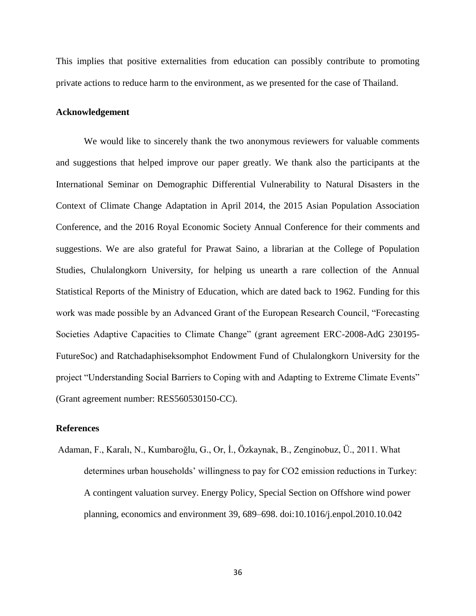This implies that positive externalities from education can possibly contribute to promoting private actions to reduce harm to the environment, as we presented for the case of Thailand.

## **Acknowledgement**

We would like to sincerely thank the two anonymous reviewers for valuable comments and suggestions that helped improve our paper greatly. We thank also the participants at the International Seminar on Demographic Differential Vulnerability to Natural Disasters in the Context of Climate Change Adaptation in April 2014, the 2015 Asian Population Association Conference, and the 2016 Royal Economic Society Annual Conference for their comments and suggestions. We are also grateful for Prawat Saino, a librarian at the College of Population Studies, Chulalongkorn University, for helping us unearth a rare collection of the Annual Statistical Reports of the Ministry of Education, which are dated back to 1962. Funding for this work was made possible by an Advanced Grant of the European Research Council, "Forecasting Societies Adaptive Capacities to Climate Change" (grant agreement ERC-2008-AdG 230195- FutureSoc) and Ratchadaphiseksomphot Endowment Fund of Chulalongkorn University for the project "Understanding Social Barriers to Coping with and Adapting to Extreme Climate Events" (Grant agreement number: RES560530150-CC).

## **References**

Adaman, F., Karalı, N., Kumbaroğlu, G., Or, İ., Özkaynak, B., Zenginobuz, Ü., 2011. What determines urban households' willingness to pay for CO2 emission reductions in Turkey: A contingent valuation survey. Energy Policy, Special Section on Offshore wind power planning, economics and environment 39, 689–698. doi:10.1016/j.enpol.2010.10.042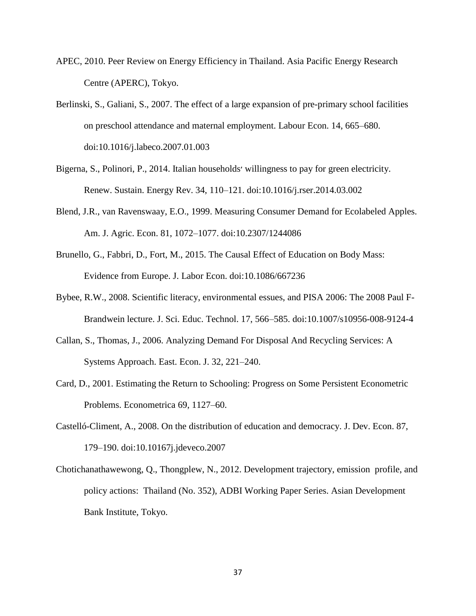- APEC, 2010. Peer Review on Energy Efficiency in Thailand. Asia Pacific Energy Research Centre (APERC), Tokyo.
- Berlinski, S., Galiani, S., 2007. The effect of a large expansion of pre-primary school facilities on preschool attendance and maternal employment. Labour Econ. 14, 665–680. doi:10.1016/j.labeco.2007.01.003
- Bigerna, S., Polinori, P., 2014. Italian households׳ willingness to pay for green electricity. Renew. Sustain. Energy Rev. 34, 110–121. doi:10.1016/j.rser.2014.03.002
- Blend, J.R., van Ravenswaay, E.O., 1999. Measuring Consumer Demand for Ecolabeled Apples. Am. J. Agric. Econ. 81, 1072–1077. doi:10.2307/1244086
- Brunello, G., Fabbri, D., Fort, M., 2015. The Causal Effect of Education on Body Mass: Evidence from Europe. J. Labor Econ. doi:10.1086/667236
- Bybee, R.W., 2008. Scientific literacy, environmental essues, and PISA 2006: The 2008 Paul F-Brandwein lecture. J. Sci. Educ. Technol. 17, 566–585. doi:10.1007/s10956-008-9124-4
- Callan, S., Thomas, J., 2006. Analyzing Demand For Disposal And Recycling Services: A Systems Approach. East. Econ. J. 32, 221–240.
- Card, D., 2001. Estimating the Return to Schooling: Progress on Some Persistent Econometric Problems. Econometrica 69, 1127–60.
- Castelló-Climent, A., 2008. On the distribution of education and democracy. J. Dev. Econ. 87, 179–190. doi:10.10167j.jdeveco.2007
- Chotichanathawewong, Q., Thongplew, N., 2012. Development trajectory, emission profile, and policy actions: Thailand (No. 352), ADBI Working Paper Series. Asian Development Bank Institute, Tokyo.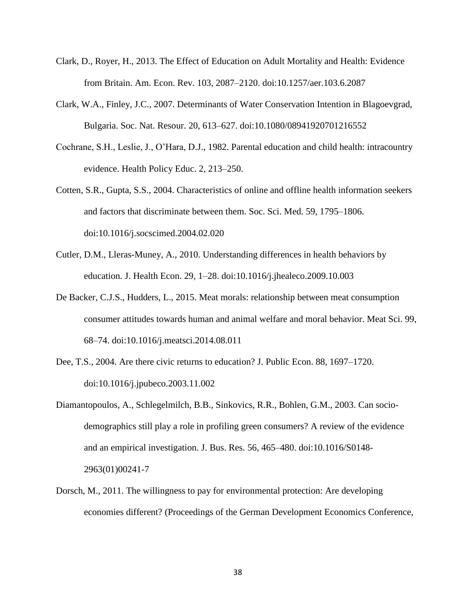- Clark, D., Royer, H., 2013. The Effect of Education on Adult Mortality and Health: Evidence from Britain. Am. Econ. Rev. 103, 2087–2120. doi:10.1257/aer.103.6.2087
- Clark, W.A., Finley, J.C., 2007. Determinants of Water Conservation Intention in Blagoevgrad, Bulgaria. Soc. Nat. Resour. 20, 613–627. doi:10.1080/08941920701216552
- Cochrane, S.H., Leslie, J., O'Hara, D.J., 1982. Parental education and child health: intracountry evidence. Health Policy Educ. 2, 213–250.
- Cotten, S.R., Gupta, S.S., 2004. Characteristics of online and offline health information seekers and factors that discriminate between them. Soc. Sci. Med. 59, 1795–1806. doi:10.1016/j.socscimed.2004.02.020
- Cutler, D.M., Lleras-Muney, A., 2010. Understanding differences in health behaviors by education. J. Health Econ. 29, 1–28. doi:10.1016/j.jhealeco.2009.10.003
- De Backer, C.J.S., Hudders, L., 2015. Meat morals: relationship between meat consumption consumer attitudes towards human and animal welfare and moral behavior. Meat Sci. 99, 68–74. doi:10.1016/j.meatsci.2014.08.011
- Dee, T.S., 2004. Are there civic returns to education? J. Public Econ. 88, 1697–1720. doi:10.1016/j.jpubeco.2003.11.002
- Diamantopoulos, A., Schlegelmilch, B.B., Sinkovics, R.R., Bohlen, G.M., 2003. Can sociodemographics still play a role in profiling green consumers? A review of the evidence and an empirical investigation. J. Bus. Res. 56, 465–480. doi:10.1016/S0148- 2963(01)00241-7
- Dorsch, M., 2011. The willingness to pay for environmental protection: Are developing economies different? (Proceedings of the German Development Economics Conference,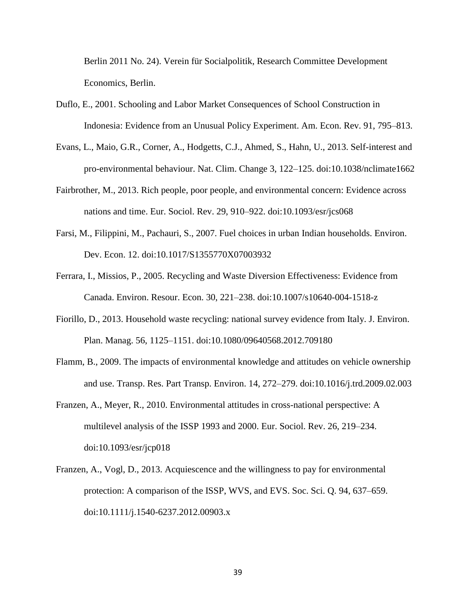Berlin 2011 No. 24). Verein für Socialpolitik, Research Committee Development Economics, Berlin.

- Duflo, E., 2001. Schooling and Labor Market Consequences of School Construction in Indonesia: Evidence from an Unusual Policy Experiment. Am. Econ. Rev. 91, 795–813.
- Evans, L., Maio, G.R., Corner, A., Hodgetts, C.J., Ahmed, S., Hahn, U., 2013. Self-interest and pro-environmental behaviour. Nat. Clim. Change 3, 122–125. doi:10.1038/nclimate1662
- Fairbrother, M., 2013. Rich people, poor people, and environmental concern: Evidence across nations and time. Eur. Sociol. Rev. 29, 910–922. doi:10.1093/esr/jcs068
- Farsi, M., Filippini, M., Pachauri, S., 2007. Fuel choices in urban Indian households. Environ. Dev. Econ. 12. doi:10.1017/S1355770X07003932
- Ferrara, I., Missios, P., 2005. Recycling and Waste Diversion Effectiveness: Evidence from Canada. Environ. Resour. Econ. 30, 221–238. doi:10.1007/s10640-004-1518-z
- Fiorillo, D., 2013. Household waste recycling: national survey evidence from Italy. J. Environ. Plan. Manag. 56, 1125–1151. doi:10.1080/09640568.2012.709180
- Flamm, B., 2009. The impacts of environmental knowledge and attitudes on vehicle ownership and use. Transp. Res. Part Transp. Environ. 14, 272–279. doi:10.1016/j.trd.2009.02.003
- Franzen, A., Meyer, R., 2010. Environmental attitudes in cross-national perspective: A multilevel analysis of the ISSP 1993 and 2000. Eur. Sociol. Rev. 26, 219–234. doi:10.1093/esr/jcp018
- Franzen, A., Vogl, D., 2013. Acquiescence and the willingness to pay for environmental protection: A comparison of the ISSP, WVS, and EVS. Soc. Sci. Q. 94, 637–659. doi:10.1111/j.1540-6237.2012.00903.x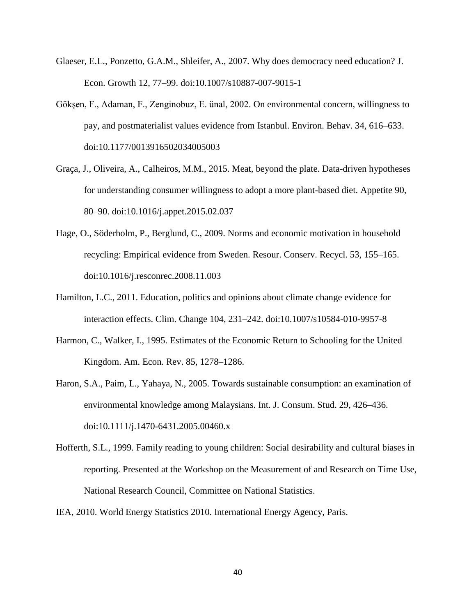- Glaeser, E.L., Ponzetto, G.A.M., Shleifer, A., 2007. Why does democracy need education? J. Econ. Growth 12, 77–99. doi:10.1007/s10887-007-9015-1
- Gökşen, F., Adaman, F., Zenginobuz, E. ünal, 2002. On environmental concern, willingness to pay, and postmaterialist values evidence from Istanbul. Environ. Behav. 34, 616–633. doi:10.1177/0013916502034005003
- Graça, J., Oliveira, A., Calheiros, M.M., 2015. Meat, beyond the plate. Data-driven hypotheses for understanding consumer willingness to adopt a more plant-based diet. Appetite 90, 80–90. doi:10.1016/j.appet.2015.02.037
- Hage, O., Söderholm, P., Berglund, C., 2009. Norms and economic motivation in household recycling: Empirical evidence from Sweden. Resour. Conserv. Recycl. 53, 155–165. doi:10.1016/j.resconrec.2008.11.003
- Hamilton, L.C., 2011. Education, politics and opinions about climate change evidence for interaction effects. Clim. Change 104, 231–242. doi:10.1007/s10584-010-9957-8
- Harmon, C., Walker, I., 1995. Estimates of the Economic Return to Schooling for the United Kingdom. Am. Econ. Rev. 85, 1278–1286.
- Haron, S.A., Paim, L., Yahaya, N., 2005. Towards sustainable consumption: an examination of environmental knowledge among Malaysians. Int. J. Consum. Stud. 29, 426–436. doi:10.1111/j.1470-6431.2005.00460.x
- Hofferth, S.L., 1999. Family reading to young children: Social desirability and cultural biases in reporting. Presented at the Workshop on the Measurement of and Research on Time Use, National Research Council, Committee on National Statistics.

IEA, 2010. World Energy Statistics 2010. International Energy Agency, Paris.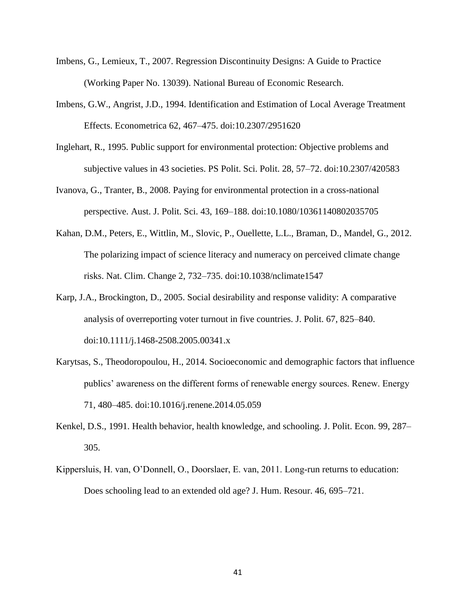- Imbens, G., Lemieux, T., 2007. Regression Discontinuity Designs: A Guide to Practice (Working Paper No. 13039). National Bureau of Economic Research.
- Imbens, G.W., Angrist, J.D., 1994. Identification and Estimation of Local Average Treatment Effects. Econometrica 62, 467–475. doi:10.2307/2951620
- Inglehart, R., 1995. Public support for environmental protection: Objective problems and subjective values in 43 societies. PS Polit. Sci. Polit. 28, 57–72. doi:10.2307/420583
- Ivanova, G., Tranter, B., 2008. Paying for environmental protection in a cross-national perspective. Aust. J. Polit. Sci. 43, 169–188. doi:10.1080/10361140802035705
- Kahan, D.M., Peters, E., Wittlin, M., Slovic, P., Ouellette, L.L., Braman, D., Mandel, G., 2012. The polarizing impact of science literacy and numeracy on perceived climate change risks. Nat. Clim. Change 2, 732–735. doi:10.1038/nclimate1547
- Karp, J.A., Brockington, D., 2005. Social desirability and response validity: A comparative analysis of overreporting voter turnout in five countries. J. Polit. 67, 825–840. doi:10.1111/j.1468-2508.2005.00341.x
- Karytsas, S., Theodoropoulou, H., 2014. Socioeconomic and demographic factors that influence publics' awareness on the different forms of renewable energy sources. Renew. Energy 71, 480–485. doi:10.1016/j.renene.2014.05.059
- Kenkel, D.S., 1991. Health behavior, health knowledge, and schooling. J. Polit. Econ. 99, 287– 305.
- Kippersluis, H. van, O'Donnell, O., Doorslaer, E. van, 2011. Long-run returns to education: Does schooling lead to an extended old age? J. Hum. Resour. 46, 695–721.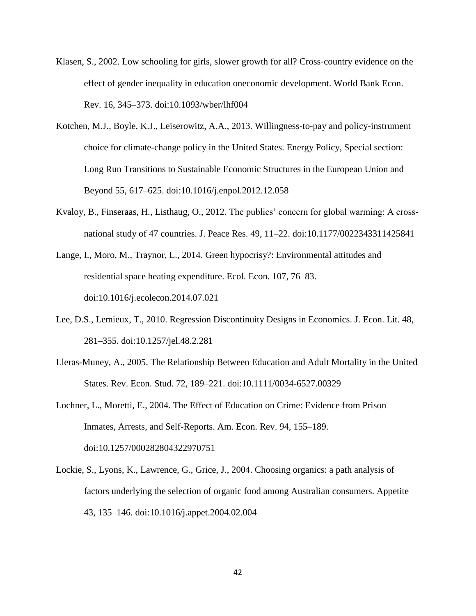- Klasen, S., 2002. Low schooling for girls, slower growth for all? Cross-country evidence on the effect of gender inequality in education oneconomic development. World Bank Econ. Rev. 16, 345–373. doi:10.1093/wber/lhf004
- Kotchen, M.J., Boyle, K.J., Leiserowitz, A.A., 2013. Willingness-to-pay and policy-instrument choice for climate-change policy in the United States. Energy Policy, Special section: Long Run Transitions to Sustainable Economic Structures in the European Union and Beyond 55, 617–625. doi:10.1016/j.enpol.2012.12.058
- Kvaloy, B., Finseraas, H., Listhaug, O., 2012. The publics' concern for global warming: A crossnational study of 47 countries. J. Peace Res. 49, 11–22. doi:10.1177/0022343311425841
- Lange, I., Moro, M., Traynor, L., 2014. Green hypocrisy?: Environmental attitudes and residential space heating expenditure. Ecol. Econ. 107, 76–83. doi:10.1016/j.ecolecon.2014.07.021
- Lee, D.S., Lemieux, T., 2010. Regression Discontinuity Designs in Economics. J. Econ. Lit. 48, 281–355. doi:10.1257/jel.48.2.281
- Lleras-Muney, A., 2005. The Relationship Between Education and Adult Mortality in the United States. Rev. Econ. Stud. 72, 189–221. doi:10.1111/0034-6527.00329
- Lochner, L., Moretti, E., 2004. The Effect of Education on Crime: Evidence from Prison Inmates, Arrests, and Self-Reports. Am. Econ. Rev. 94, 155–189. doi:10.1257/000282804322970751
- Lockie, S., Lyons, K., Lawrence, G., Grice, J., 2004. Choosing organics: a path analysis of factors underlying the selection of organic food among Australian consumers. Appetite 43, 135–146. doi:10.1016/j.appet.2004.02.004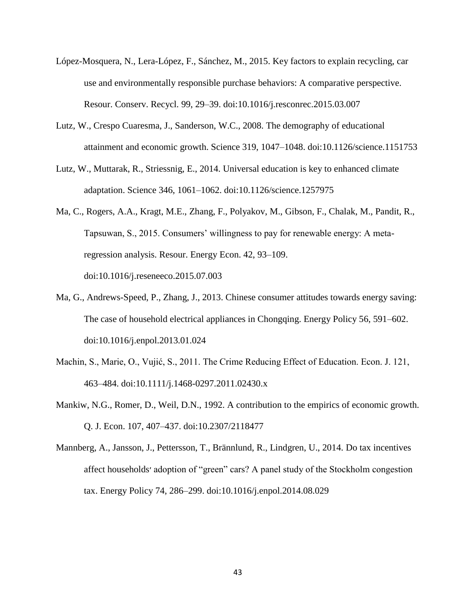- López-Mosquera, N., Lera-López, F., Sánchez, M., 2015. Key factors to explain recycling, car use and environmentally responsible purchase behaviors: A comparative perspective. Resour. Conserv. Recycl. 99, 29–39. doi:10.1016/j.resconrec.2015.03.007
- Lutz, W., Crespo Cuaresma, J., Sanderson, W.C., 2008. The demography of educational attainment and economic growth. Science 319, 1047–1048. doi:10.1126/science.1151753
- Lutz, W., Muttarak, R., Striessnig, E., 2014. Universal education is key to enhanced climate adaptation. Science 346, 1061–1062. doi:10.1126/science.1257975
- Ma, C., Rogers, A.A., Kragt, M.E., Zhang, F., Polyakov, M., Gibson, F., Chalak, M., Pandit, R., Tapsuwan, S., 2015. Consumers' willingness to pay for renewable energy: A metaregression analysis. Resour. Energy Econ. 42, 93–109. doi:10.1016/j.reseneeco.2015.07.003
- Ma, G., Andrews-Speed, P., Zhang, J., 2013. Chinese consumer attitudes towards energy saving: The case of household electrical appliances in Chongqing. Energy Policy 56, 591–602. doi:10.1016/j.enpol.2013.01.024
- Machin, S., Marie, O., Vujić, S., 2011. The Crime Reducing Effect of Education. Econ. J. 121, 463–484. doi:10.1111/j.1468-0297.2011.02430.x
- Mankiw, N.G., Romer, D., Weil, D.N., 1992. A contribution to the empirics of economic growth. Q. J. Econ. 107, 407–437. doi:10.2307/2118477
- Mannberg, A., Jansson, J., Pettersson, T., Brännlund, R., Lindgren, U., 2014. Do tax incentives affect households׳ adoption of "green" cars? A panel study of the Stockholm congestion tax. Energy Policy 74, 286–299. doi:10.1016/j.enpol.2014.08.029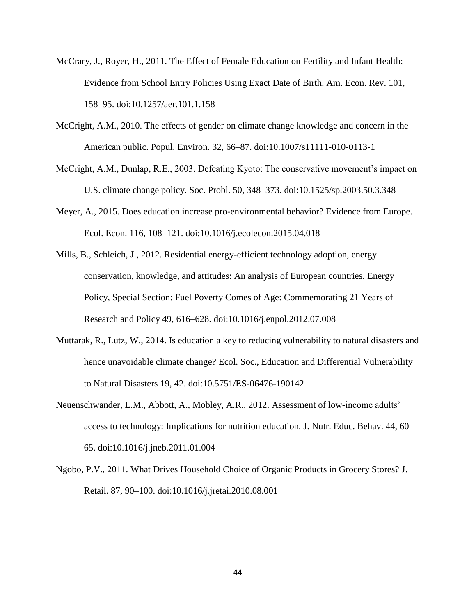- McCrary, J., Royer, H., 2011. The Effect of Female Education on Fertility and Infant Health: Evidence from School Entry Policies Using Exact Date of Birth. Am. Econ. Rev. 101, 158–95. doi:10.1257/aer.101.1.158
- McCright, A.M., 2010. The effects of gender on climate change knowledge and concern in the American public. Popul. Environ. 32, 66–87. doi:10.1007/s11111-010-0113-1
- McCright, A.M., Dunlap, R.E., 2003. Defeating Kyoto: The conservative movement's impact on U.S. climate change policy. Soc. Probl. 50, 348–373. doi:10.1525/sp.2003.50.3.348
- Meyer, A., 2015. Does education increase pro-environmental behavior? Evidence from Europe. Ecol. Econ. 116, 108–121. doi:10.1016/j.ecolecon.2015.04.018
- Mills, B., Schleich, J., 2012. Residential energy-efficient technology adoption, energy conservation, knowledge, and attitudes: An analysis of European countries. Energy Policy, Special Section: Fuel Poverty Comes of Age: Commemorating 21 Years of Research and Policy 49, 616–628. doi:10.1016/j.enpol.2012.07.008
- Muttarak, R., Lutz, W., 2014. Is education a key to reducing vulnerability to natural disasters and hence unavoidable climate change? Ecol. Soc., Education and Differential Vulnerability to Natural Disasters 19, 42. doi:10.5751/ES-06476-190142
- Neuenschwander, L.M., Abbott, A., Mobley, A.R., 2012. Assessment of low-income adults' access to technology: Implications for nutrition education. J. Nutr. Educ. Behav. 44, 60– 65. doi:10.1016/j.jneb.2011.01.004
- Ngobo, P.V., 2011. What Drives Household Choice of Organic Products in Grocery Stores? J. Retail. 87, 90–100. doi:10.1016/j.jretai.2010.08.001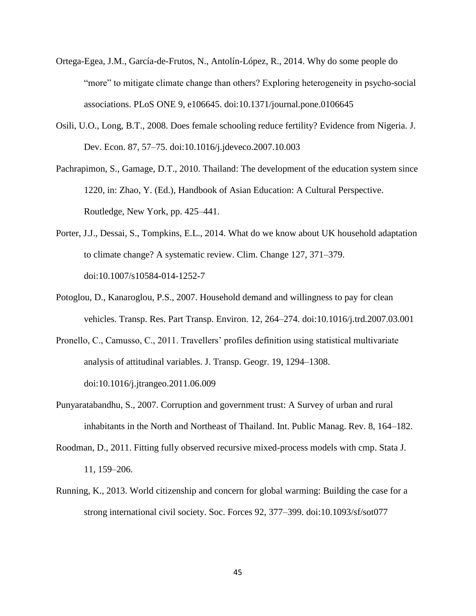- Ortega-Egea, J.M., García-de-Frutos, N., Antolín-López, R., 2014. Why do some people do "more" to mitigate climate change than others? Exploring heterogeneity in psycho-social associations. PLoS ONE 9, e106645. doi:10.1371/journal.pone.0106645
- Osili, U.O., Long, B.T., 2008. Does female schooling reduce fertility? Evidence from Nigeria. J. Dev. Econ. 87, 57–75. doi:10.1016/j.jdeveco.2007.10.003
- Pachrapimon, S., Gamage, D.T., 2010. Thailand: The development of the education system since 1220, in: Zhao, Y. (Ed.), Handbook of Asian Education: A Cultural Perspective. Routledge, New York, pp. 425–441.
- Porter, J.J., Dessai, S., Tompkins, E.L., 2014. What do we know about UK household adaptation to climate change? A systematic review. Clim. Change 127, 371–379. doi:10.1007/s10584-014-1252-7
- Potoglou, D., Kanaroglou, P.S., 2007. Household demand and willingness to pay for clean vehicles. Transp. Res. Part Transp. Environ. 12, 264–274. doi:10.1016/j.trd.2007.03.001
- Pronello, C., Camusso, C., 2011. Travellers' profiles definition using statistical multivariate analysis of attitudinal variables. J. Transp. Geogr. 19, 1294–1308. doi:10.1016/j.jtrangeo.2011.06.009
- Punyaratabandhu, S., 2007. Corruption and government trust: A Survey of urban and rural inhabitants in the North and Northeast of Thailand. Int. Public Manag. Rev. 8, 164–182.
- Roodman, D., 2011. Fitting fully observed recursive mixed-process models with cmp. Stata J. 11, 159–206.
- Running, K., 2013. World citizenship and concern for global warming: Building the case for a strong international civil society. Soc. Forces 92, 377–399. doi:10.1093/sf/sot077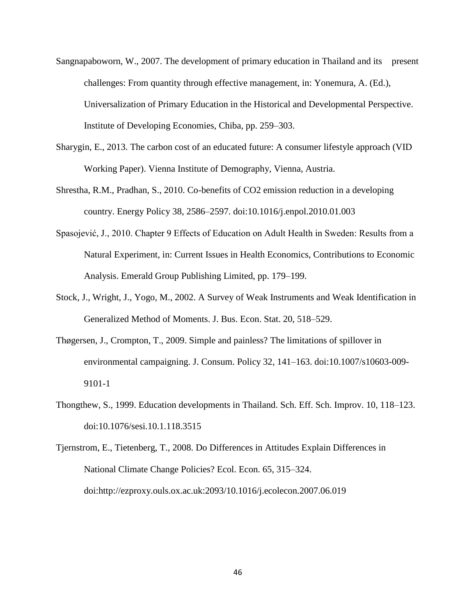- Sangnapaboworn, W., 2007. The development of primary education in Thailand and its present challenges: From quantity through effective management, in: Yonemura, A. (Ed.), Universalization of Primary Education in the Historical and Developmental Perspective. Institute of Developing Economies, Chiba, pp. 259–303.
- Sharygin, E., 2013. The carbon cost of an educated future: A consumer lifestyle approach (VID Working Paper). Vienna Institute of Demography, Vienna, Austria.
- Shrestha, R.M., Pradhan, S., 2010. Co-benefits of CO2 emission reduction in a developing country. Energy Policy 38, 2586–2597. doi:10.1016/j.enpol.2010.01.003
- Spasojević, J., 2010. Chapter 9 Effects of Education on Adult Health in Sweden: Results from a Natural Experiment, in: Current Issues in Health Economics, Contributions to Economic Analysis. Emerald Group Publishing Limited, pp. 179–199.
- Stock, J., Wright, J., Yogo, M., 2002. A Survey of Weak Instruments and Weak Identification in Generalized Method of Moments. J. Bus. Econ. Stat. 20, 518–529.
- Thøgersen, J., Crompton, T., 2009. Simple and painless? The limitations of spillover in environmental campaigning. J. Consum. Policy 32, 141–163. doi:10.1007/s10603-009- 9101-1
- Thongthew, S., 1999. Education developments in Thailand. Sch. Eff. Sch. Improv. 10, 118–123. doi:10.1076/sesi.10.1.118.3515

Tjernstrom, E., Tietenberg, T., 2008. Do Differences in Attitudes Explain Differences in National Climate Change Policies? Ecol. Econ. 65, 315–324. doi:http://ezproxy.ouls.ox.ac.uk:2093/10.1016/j.ecolecon.2007.06.019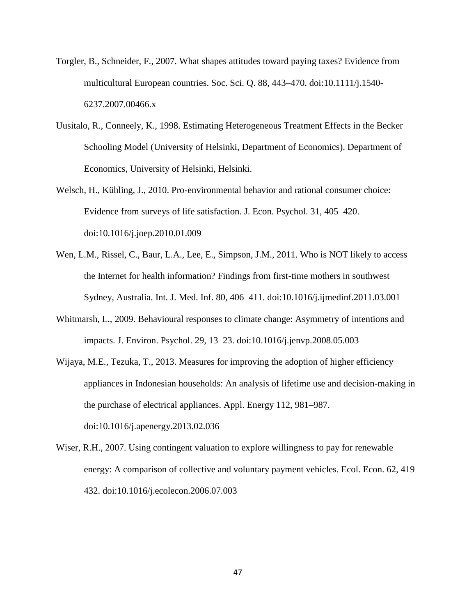- Torgler, B., Schneider, F., 2007. What shapes attitudes toward paying taxes? Evidence from multicultural European countries. Soc. Sci. Q. 88, 443–470. doi:10.1111/j.1540- 6237.2007.00466.x
- Uusitalo, R., Conneely, K., 1998. Estimating Heterogeneous Treatment Effects in the Becker Schooling Model (University of Helsinki, Department of Economics). Department of Economics, University of Helsinki, Helsinki.
- Welsch, H., Kühling, J., 2010. Pro-environmental behavior and rational consumer choice: Evidence from surveys of life satisfaction. J. Econ. Psychol. 31, 405–420. doi:10.1016/j.joep.2010.01.009
- Wen, L.M., Rissel, C., Baur, L.A., Lee, E., Simpson, J.M., 2011. Who is NOT likely to access the Internet for health information? Findings from first-time mothers in southwest Sydney, Australia. Int. J. Med. Inf. 80, 406–411. doi:10.1016/j.ijmedinf.2011.03.001
- Whitmarsh, L., 2009. Behavioural responses to climate change: Asymmetry of intentions and impacts. J. Environ. Psychol. 29, 13–23. doi:10.1016/j.jenvp.2008.05.003
- Wijaya, M.E., Tezuka, T., 2013. Measures for improving the adoption of higher efficiency appliances in Indonesian households: An analysis of lifetime use and decision-making in the purchase of electrical appliances. Appl. Energy 112, 981–987. doi:10.1016/j.apenergy.2013.02.036
- Wiser, R.H., 2007. Using contingent valuation to explore willingness to pay for renewable energy: A comparison of collective and voluntary payment vehicles. Ecol. Econ. 62, 419– 432. doi:10.1016/j.ecolecon.2006.07.003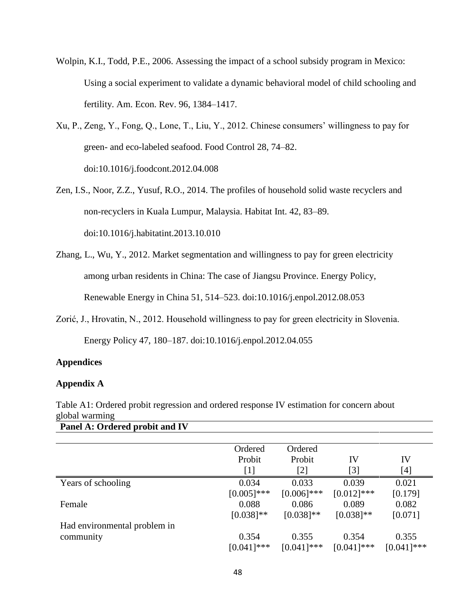Wolpin, K.I., Todd, P.E., 2006. Assessing the impact of a school subsidy program in Mexico: Using a social experiment to validate a dynamic behavioral model of child schooling and fertility. Am. Econ. Rev. 96, 1384–1417.

Xu, P., Zeng, Y., Fong, Q., Lone, T., Liu, Y., 2012. Chinese consumers' willingness to pay for green- and eco-labeled seafood. Food Control 28, 74–82. doi:10.1016/j.foodcont.2012.04.008

Zen, I.S., Noor, Z.Z., Yusuf, R.O., 2014. The profiles of household solid waste recyclers and non-recyclers in Kuala Lumpur, Malaysia. Habitat Int. 42, 83–89. doi:10.1016/j.habitatint.2013.10.010

- Zhang, L., Wu, Y., 2012. Market segmentation and willingness to pay for green electricity among urban residents in China: The case of Jiangsu Province. Energy Policy, Renewable Energy in China 51, 514–523. doi:10.1016/j.enpol.2012.08.053
- Zorić, J., Hrovatin, N., 2012. Household willingness to pay for green electricity in Slovenia. Energy Policy 47, 180–187. doi:10.1016/j.enpol.2012.04.055

## **Appendices**

## **Appendix A**

Table A1: Ordered probit regression and ordered response IV estimation for concern about global warming **Panel A: Ordered probit and IV**

|                              | Ordered       | Ordered       |                   |               |
|------------------------------|---------------|---------------|-------------------|---------------|
|                              | Probit        | Probit        | IV                | IV            |
|                              | [1]           | $[2]$         | $\lceil 3 \rceil$ | [4]           |
| Years of schooling           | 0.034         | 0.033         | 0.039             | 0.021         |
|                              | $[0.005]$ *** | $[0.006]$ *** | $[0.012]$ ***     | [0.179]       |
| Female                       | 0.088         | 0.086         | 0.089             | 0.082         |
|                              | $[0.038]$ **  | $[0.038]$ **  | $[0.038]$ **      | [0.071]       |
| Had environmental problem in |               |               |                   |               |
| community                    | 0.354         | 0.355         | 0.354             | 0.355         |
|                              | $[0.041]$ *** | $[0.041]$ *** | $[0.041]$ ***     | $[0.041]$ *** |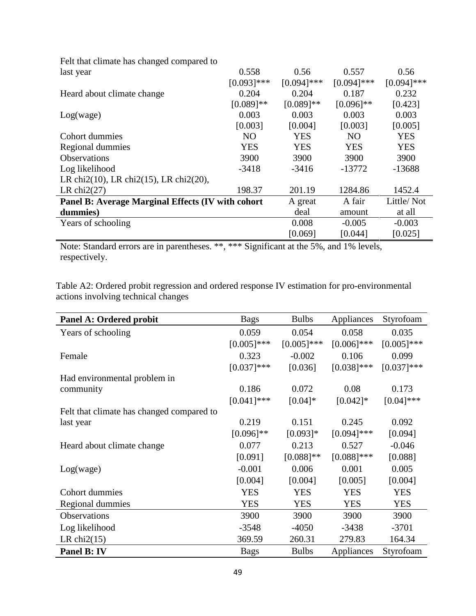| 0.558                                             | 0.56          | 0.557          | 0.56          |
|---------------------------------------------------|---------------|----------------|---------------|
| $[0.093]$ ***                                     | $[0.094]$ *** | $[0.094]$ ***  | $[0.094]$ *** |
| 0.204                                             | 0.204         | 0.187          | 0.232         |
| $[0.089]$ **                                      | $[0.089]$ **  | $[0.096]$ **   | [0.423]       |
| 0.003                                             | 0.003         | 0.003          | 0.003         |
| [0.003]                                           | [0.004]       | [0.003]        | [0.005]       |
| N <sub>O</sub>                                    | <b>YES</b>    | N <sub>O</sub> | <b>YES</b>    |
| <b>YES</b>                                        | <b>YES</b>    | <b>YES</b>     | <b>YES</b>    |
| 3900                                              | 3900          | 3900           | 3900          |
| $-3418$                                           | $-3416$       | $-13772$       | $-13688$      |
|                                                   |               |                |               |
| 198.37                                            | 201.19        | 1284.86        | 1452.4        |
| Panel B: Average Marginal Effects (IV with cohort | A great       | A fair         | Little/Not    |
|                                                   | deal          | amount         | at all        |
|                                                   | 0.008         | $-0.005$       | $-0.003$      |
|                                                   | [0.069]       | [0.044]        | [0.025]       |
|                                                   |               |                |               |

Felt that climate has changed compared to

Note: Standard errors are in parentheses. \*\*, \*\*\* Significant at the 5%, and 1% levels, respectively.

Table A2: Ordered probit regression and ordered response IV estimation for pro-environmental actions involving technical changes

| Panel A: Ordered probit                   | <b>Bags</b>   | <b>Bulbs</b>  | Appliances    | Styrofoam     |
|-------------------------------------------|---------------|---------------|---------------|---------------|
| Years of schooling                        | 0.059         | 0.054         | 0.058         | 0.035         |
|                                           | $[0.005]$ *** | $[0.005]$ *** | $[0.006]$ *** | $[0.005]$ *** |
| Female                                    | 0.323         | $-0.002$      | 0.106         | 0.099         |
|                                           | $[0.037]$ *** | [0.036]       | $[0.038]$ *** | $[0.037]$ *** |
| Had environmental problem in              |               |               |               |               |
| community                                 | 0.186         | 0.072         | 0.08          | 0.173         |
|                                           | $[0.041]$ *** | $[0.04]*$     | $[0.042]$ *   | $[0.04]$ ***  |
| Felt that climate has changed compared to |               |               |               |               |
| last year                                 | 0.219         | 0.151         | 0.245         | 0.092         |
|                                           | $[0.096]$ **  | $[0.093]$ *   | $[0.094]$ *** | [0.094]       |
| Heard about climate change                | 0.077         | 0.213         | 0.527         | $-0.046$      |
|                                           | [0.091]       | $[0.088]$ **  | $[0.088]$ *** | [0.088]       |
| Log(wage)                                 | $-0.001$      | 0.006         | 0.001         | 0.005         |
|                                           | [0.004]       | [0.004]       | [0.005]       | [0.004]       |
| Cohort dummies                            | <b>YES</b>    | <b>YES</b>    | <b>YES</b>    | <b>YES</b>    |
| Regional dummies                          | <b>YES</b>    | <b>YES</b>    | <b>YES</b>    | <b>YES</b>    |
| Observations                              | 3900          | 3900          | 3900          | 3900          |
| Log likelihood                            | $-3548$       | $-4050$       | $-3438$       | $-3701$       |
| LR chi $2(15)$                            | 369.59        | 260.31        | 279.83        | 164.34        |
| Panel B: IV                               | <b>Bags</b>   | <b>Bulbs</b>  | Appliances    | Styrofoam     |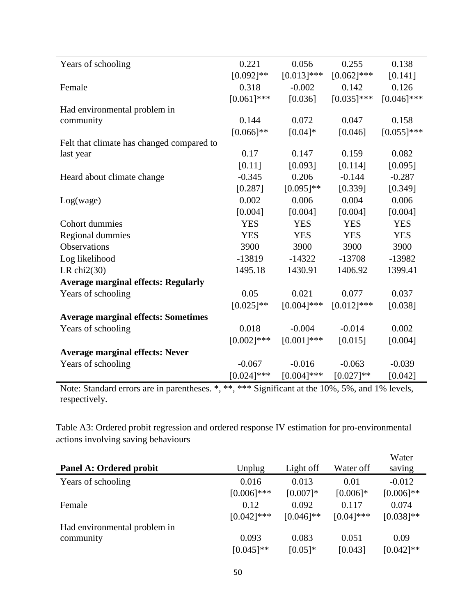| Years of schooling                         | 0.221         | 0.056         | 0.255         | 0.138         |
|--------------------------------------------|---------------|---------------|---------------|---------------|
|                                            | $[0.092]$ **  | $[0.013]$ *** | $[0.062]$ *** | [0.141]       |
| Female                                     | 0.318         | $-0.002$      | 0.142         | 0.126         |
|                                            | $[0.061]$ *** | [0.036]       | $[0.035]$ *** | $[0.046]$ *** |
| Had environmental problem in               |               |               |               |               |
| community                                  | 0.144         | 0.072         | 0.047         | 0.158         |
|                                            | $[0.066]$ **  | $[0.04]*$     | [0.046]       | $[0.055]$ *** |
| Felt that climate has changed compared to  |               |               |               |               |
| last year                                  | 0.17          | 0.147         | 0.159         | 0.082         |
|                                            | [0.11]        | [0.093]       | [0.114]       | [0.095]       |
| Heard about climate change                 | $-0.345$      | 0.206         | $-0.144$      | $-0.287$      |
|                                            | [0.287]       | $[0.095]$ **  | [0.339]       | [0.349]       |
| Log(wage)                                  | 0.002         | 0.006         | 0.004         | 0.006         |
|                                            | [0.004]       | [0.004]       | [0.004]       | [0.004]       |
| <b>Cohort dummies</b>                      | <b>YES</b>    | <b>YES</b>    | <b>YES</b>    | <b>YES</b>    |
| Regional dummies                           | <b>YES</b>    | <b>YES</b>    | <b>YES</b>    | <b>YES</b>    |
| Observations                               | 3900          | 3900          | 3900          | 3900          |
| Log likelihood                             | $-13819$      | $-14322$      | $-13708$      | $-13982$      |
| LR chi $2(30)$                             | 1495.18       | 1430.91       | 1406.92       | 1399.41       |
| <b>Average marginal effects: Regularly</b> |               |               |               |               |
| Years of schooling                         | 0.05          | 0.021         | 0.077         | 0.037         |
|                                            | $[0.025]$ **  | $[0.004]$ *** | $[0.012]$ *** | [0.038]       |
| <b>Average marginal effects: Sometimes</b> |               |               |               |               |
| Years of schooling                         | 0.018         | $-0.004$      | $-0.014$      | 0.002         |
|                                            | $[0.002]$ *** | $[0.001]$ *** | [0.015]       | [0.004]       |
| <b>Average marginal effects: Never</b>     |               |               |               |               |
| Years of schooling                         | $-0.067$      | $-0.016$      | $-0.063$      | $-0.039$      |
|                                            | $[0.024]$ *** | $[0.004]$ *** | $[0.027]**$   | [0.042]       |

Note: Standard errors are in parentheses. \*, \*\*, \*\*\* Significant at the 10%, 5%, and 1% levels, respectively.

Table A3: Ordered probit regression and ordered response IV estimation for pro-environmental actions involving saving behaviours

|                                |               |              |              | Water        |
|--------------------------------|---------------|--------------|--------------|--------------|
| <b>Panel A: Ordered probit</b> | Unplug        | Light off    | Water off    | saving       |
| Years of schooling             | 0.016         | 0.013        | 0.01         | $-0.012$     |
|                                | $[0.006]$ *** | $[0.007]$ *  | $[0.006]$ *  | $[0.006]$ ** |
| Female                         | 0.12          | 0.092        | 0.117        | 0.074        |
|                                | $[0.042]$ *** | $[0.046]$ ** | $[0.04]$ *** | $[0.038]$ ** |
| Had environmental problem in   |               |              |              |              |
| community                      | 0.093         | 0.083        | 0.051        | 0.09         |
|                                | $[0.045]$ **  | $[0.05]$ *   | [0.043]      | $[0.042]$ ** |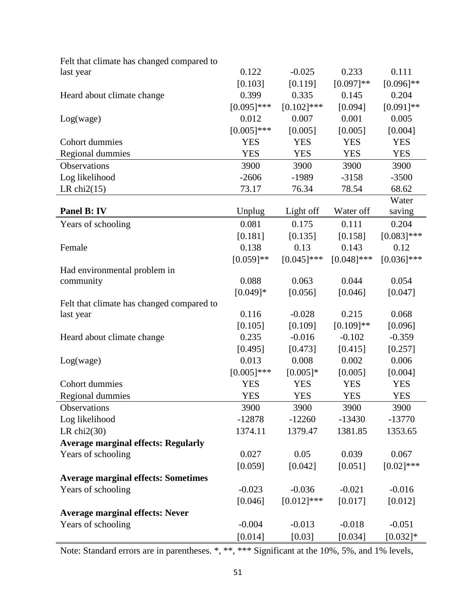| Felt that climate has changed compared to  |               |               |               |               |
|--------------------------------------------|---------------|---------------|---------------|---------------|
| last year                                  | 0.122         | $-0.025$      | 0.233         | 0.111         |
|                                            | [0.103]       | [0.119]       | $[0.097]$ **  | $[0.096]$ **  |
| Heard about climate change                 | 0.399         | 0.335         | 0.145         | 0.204         |
|                                            | $[0.095]$ *** | $[0.102]$ *** | [0.094]       | $[0.091]$ **  |
| Log(wage)                                  | 0.012         | 0.007         | 0.001         | 0.005         |
|                                            | $[0.005]$ *** | [0.005]       | [0.005]       | [0.004]       |
| Cohort dummies                             | <b>YES</b>    | <b>YES</b>    | <b>YES</b>    | <b>YES</b>    |
| Regional dummies                           | <b>YES</b>    | <b>YES</b>    | <b>YES</b>    | <b>YES</b>    |
| Observations                               | 3900          | 3900          | 3900          | 3900          |
| Log likelihood                             | $-2606$       | $-1989$       | $-3158$       | $-3500$       |
| LR chi $2(15)$                             | 73.17         | 76.34         | 78.54         | 68.62         |
|                                            |               |               |               | Water         |
| Panel B: IV                                | Unplug        | Light off     | Water off     | saving        |
| Years of schooling                         | 0.081         | 0.175         | 0.111         | 0.204         |
|                                            | [0.181]       | [0.135]       | [0.158]       | $[0.083]$ *** |
| Female                                     | 0.138         | 0.13          | 0.143         | 0.12          |
|                                            | $[0.059]$ **  | $[0.045]$ *** | $[0.048]$ *** | $[0.036]$ *** |
| Had environmental problem in               |               |               |               |               |
| community                                  | 0.088         | 0.063         | 0.044         | 0.054         |
|                                            | $[0.049]*$    | [0.056]       | [0.046]       | [0.047]       |
| Felt that climate has changed compared to  |               |               |               |               |
| last year                                  | 0.116         | $-0.028$      | 0.215         | 0.068         |
|                                            | [0.105]       | [0.109]       | $[0.109]$ **  | [0.096]       |
| Heard about climate change                 | 0.235         | $-0.016$      | $-0.102$      | $-0.359$      |
|                                            | [0.495]       | [0.473]       | [0.415]       | [0.257]       |
| Log(wage)                                  | 0.013         | 0.008         | 0.002         | 0.006         |
|                                            | $[0.005]$ *** | $[0.005]*$    | [0.005]       | [0.004]       |
| Cohort dummies                             | <b>YES</b>    | <b>YES</b>    | <b>YES</b>    | <b>YES</b>    |
| Regional dummies                           | <b>YES</b>    | <b>YES</b>    | <b>YES</b>    | <b>YES</b>    |
| Observations                               | 3900          | 3900          | 3900          | 3900          |
| Log likelihood                             | $-12878$      | $-12260$      | $-13430$      | $-13770$      |
| LR chi $2(30)$                             | 1374.11       | 1379.47       | 1381.85       | 1353.65       |
| <b>Average marginal effects: Regularly</b> |               |               |               |               |
| Years of schooling                         | 0.027         | 0.05          | 0.039         | 0.067         |
|                                            | [0.059]       | [0.042]       | [0.051]       | $[0.02]$ ***  |
| <b>Average marginal effects: Sometimes</b> |               |               |               |               |
| Years of schooling                         | $-0.023$      | $-0.036$      | $-0.021$      | $-0.016$      |
|                                            | [0.046]       | $[0.012]$ *** | [0.017]       | [0.012]       |
| <b>Average marginal effects: Never</b>     |               |               |               |               |
| Years of schooling                         | $-0.004$      | $-0.013$      | $-0.018$      | $-0.051$      |
|                                            | [0.014]       | [0.03]        | [0.034]       | $[0.032]*$    |

Note: Standard errors are in parentheses. \*, \*\*, \*\*\* Significant at the 10%, 5%, and 1% levels,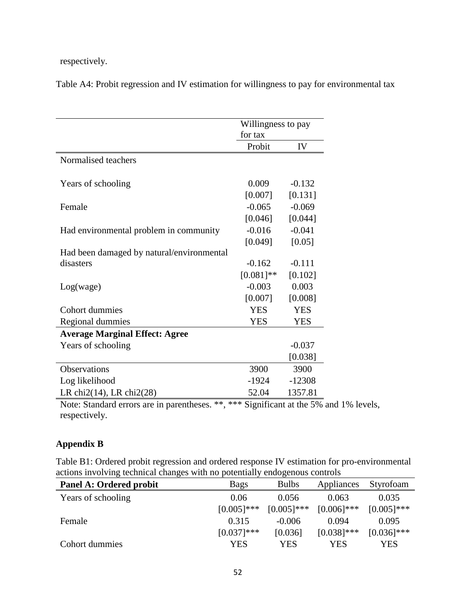respectively.

Table A4: Probit regression and IV estimation for willingness to pay for environmental tax

|                                           | Willingness to pay |            |
|-------------------------------------------|--------------------|------------|
|                                           | for tax            |            |
|                                           | Probit             | IV         |
| Normalised teachers                       |                    |            |
|                                           |                    |            |
| Years of schooling                        | 0.009              | $-0.132$   |
|                                           | [0.007]            | [0.131]    |
| Female                                    | $-0.065$           | $-0.069$   |
|                                           | [0.046]            | [0.044]    |
| Had environmental problem in community    | $-0.016$           | $-0.041$   |
|                                           | [0.049]            | [0.05]     |
| Had been damaged by natural/environmental |                    |            |
| disasters                                 | $-0.162$           | $-0.111$   |
|                                           | $[0.081]$ **       | [0.102]    |
| Log(wage)                                 | $-0.003$           | 0.003      |
|                                           | [0.007]            | [0.008]    |
| Cohort dummies                            | <b>YES</b>         | <b>YES</b> |
| Regional dummies                          | <b>YES</b>         | <b>YES</b> |
| <b>Average Marginal Effect: Agree</b>     |                    |            |
| Years of schooling                        |                    | $-0.037$   |
|                                           |                    | [0.038]    |
| <b>Observations</b>                       | 3900               | 3900       |
| Log likelihood                            | $-1924$            | $-12308$   |
| LR chi $2(14)$ , LR chi $2(28)$           | 52.04              | 1357.81    |

Note: Standard errors are in parentheses. \*\*, \*\*\* Significant at the 5% and 1% levels, respectively.

# **Appendix B**

Table B1: Ordered probit regression and ordered response IV estimation for pro-environmental actions involving technical changes with no potentially endogenous controls L,

| <b>Panel A: Ordered probit</b> | Bags          | <b>Bulbs</b>  | Appliances    | Styrofoam     |
|--------------------------------|---------------|---------------|---------------|---------------|
| Years of schooling             | 0.06          | 0.056         | 0.063         | 0.035         |
|                                | $[0.005]$ *** | $[0.005]$ *** | $[0.006]$ *** | $[0.005]$ *** |
| Female                         | 0.315         | $-0.006$      | 0.094         | 0.095         |
|                                | $[0.037]$ *** | [0.036]       | $[0.038]$ *** | $[0.036]$ *** |
| Cohort dummies                 | <b>YES</b>    | YES           | YES           | <b>YES</b>    |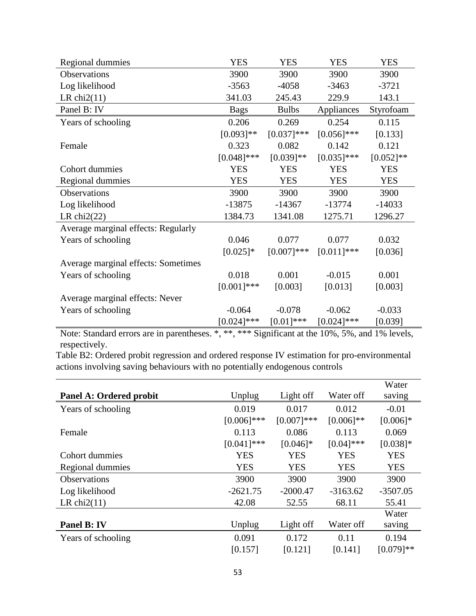| Regional dummies                    | <b>YES</b>    | <b>YES</b>    | <b>YES</b>    | <b>YES</b>   |
|-------------------------------------|---------------|---------------|---------------|--------------|
| Observations                        | 3900          | 3900          | 3900          | 3900         |
| Log likelihood                      | $-3563$       | $-4058$       | $-3463$       | $-3721$      |
| LR $chi2(11)$                       | 341.03        | 245.43        | 229.9         | 143.1        |
| Panel B: IV                         | <b>Bags</b>   | <b>Bulbs</b>  | Appliances    | Styrofoam    |
| Years of schooling                  | 0.206         | 0.269         | 0.254         | 0.115        |
|                                     | $[0.093]$ **  | $[0.037]$ *** | $[0.056]$ *** | [0.133]      |
| Female                              | 0.323         | 0.082         | 0.142         | 0.121        |
|                                     | $[0.048]$ *** | $[0.039]$ **  | $[0.035]$ *** | $[0.052]$ ** |
| Cohort dummies                      | <b>YES</b>    | <b>YES</b>    | <b>YES</b>    | <b>YES</b>   |
| Regional dummies                    | <b>YES</b>    | <b>YES</b>    | <b>YES</b>    | <b>YES</b>   |
| Observations                        | 3900          | 3900          | 3900          | 3900         |
| Log likelihood                      | $-13875$      | $-14367$      | $-13774$      | $-14033$     |
| LR chi $2(22)$                      | 1384.73       | 1341.08       | 1275.71       | 1296.27      |
| Average marginal effects: Regularly |               |               |               |              |
| Years of schooling                  | 0.046         | 0.077         | 0.077         | 0.032        |
|                                     | $[0.025]$ *   | $[0.007]***$  | $[0.011]$ *** | [0.036]      |
| Average marginal effects: Sometimes |               |               |               |              |
| Years of schooling                  | 0.018         | 0.001         | $-0.015$      | 0.001        |
|                                     | $[0.001]***$  | [0.003]       | [0.013]       | [0.003]      |
| Average marginal effects: Never     |               |               |               |              |
| Years of schooling                  | $-0.064$      | $-0.078$      | $-0.062$      | $-0.033$     |
|                                     | $[0.024]$ *** | $[0.01]$ ***  | $[0.024]$ *** | [0.039]      |

Note: Standard errors are in parentheses. \*, \*\*, \*\*\* Significant at the 10%, 5%, and 1% levels, respectively.

Table B2: Ordered probit regression and ordered response IV estimation for pro-environmental actions involving saving behaviours with no potentially endogenous controls

|                                |               |              |              | Water       |
|--------------------------------|---------------|--------------|--------------|-------------|
| <b>Panel A: Ordered probit</b> | Unplug        | Light off    | Water off    | saving      |
| Years of schooling             | 0.019         | 0.017        | 0.012        | $-0.01$     |
|                                | $[0.006]$ *** | $[0.007]***$ | $[0.006]$ ** | $[0.006]$ * |
| Female                         | 0.113         | 0.086        | 0.113        | 0.069       |
|                                | $[0.041]$ *** | $[0.046]$ *  | $[0.04]$ *** | $[0.038]$ * |
| Cohort dummies                 | <b>YES</b>    | <b>YES</b>   | <b>YES</b>   | YES         |
| Regional dummies               | <b>YES</b>    | <b>YES</b>   | <b>YES</b>   | <b>YES</b>  |
| <b>Observations</b>            | 3900          | 3900         | 3900         | 3900        |
| Log likelihood                 | $-2621.75$    | $-2000.47$   | $-3163.62$   | $-3507.05$  |
| LR chi $2(11)$                 | 42.08         | 52.55        | 68.11        | 55.41       |
|                                |               |              |              | Water       |
| <b>Panel B: IV</b>             | Unplug        | Light off    | Water off    | saving      |
| Years of schooling             | 0.091         | 0.172        | 0.11         | 0.194       |
|                                | [0.157]       | [0.121]      | [0.141]      | $[0.079]**$ |